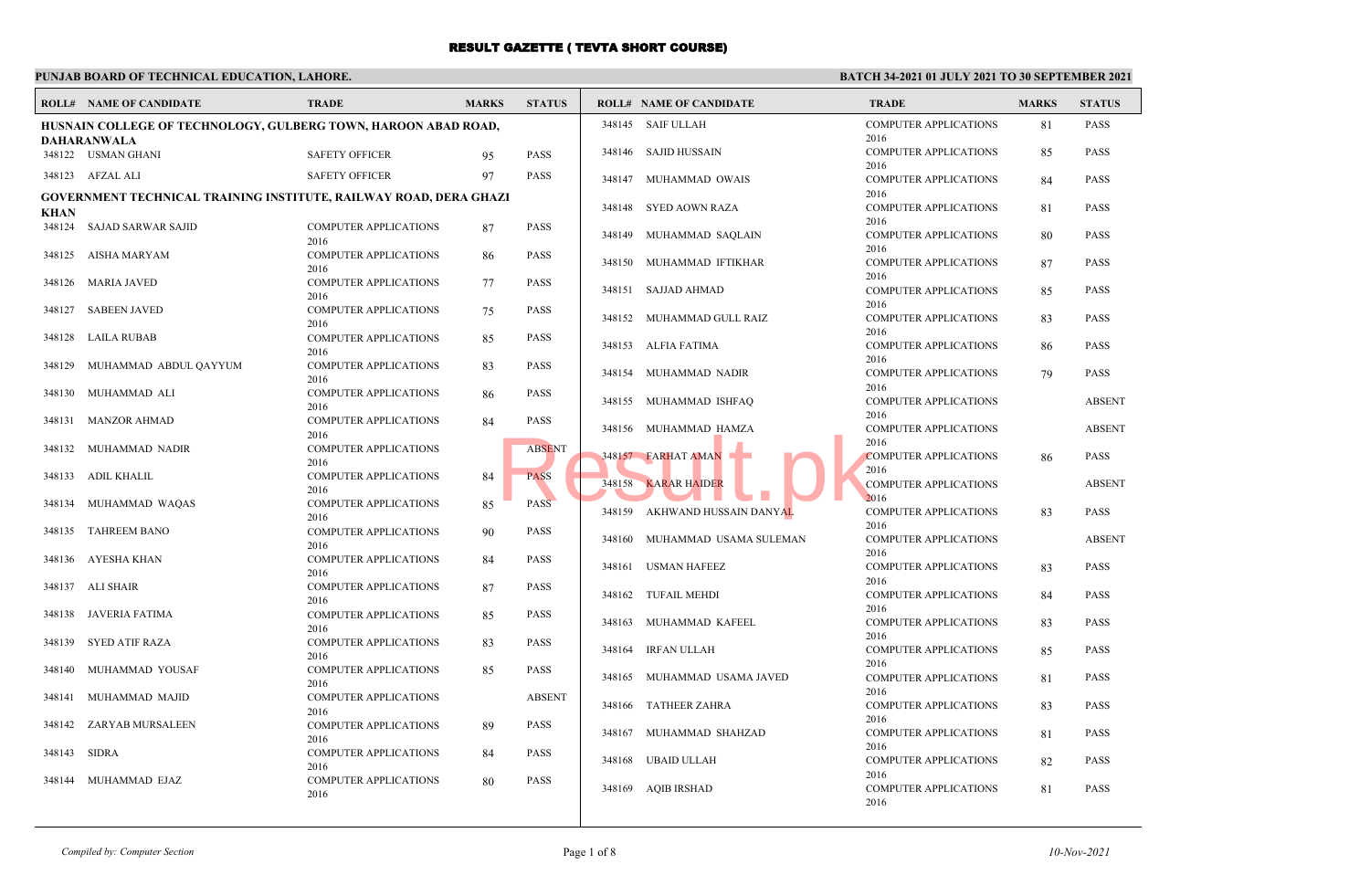### **PUNJAB BOARD OF TECHNICAL EDUCATION, LAHORE.**

|             | <b>ROLL# NAME OF CANDIDATE</b>                                    | <b>TRADE</b>                         | <b>MARKS</b> | <b>STATUS</b> |        | <b>ROLL# NAME OF CANDIDATE</b> | <b>TRADE</b>                         | <b>MARKS</b> | <b>STATUS</b> |
|-------------|-------------------------------------------------------------------|--------------------------------------|--------------|---------------|--------|--------------------------------|--------------------------------------|--------------|---------------|
|             | HUSNAIN COLLEGE OF TECHNOLOGY, GULBERG TOWN, HAROON ABAD ROAD,    |                                      |              |               |        | 348145 SAIF ULLAH              | <b>COMPUTER APPLICATIONS</b><br>2016 | 81           | <b>PASS</b>   |
|             | DAHARANWALA<br>348122 USMAN GHANI                                 | <b>SAFETY OFFICER</b>                | 95           | <b>PASS</b>   | 348146 | SAJID HUSSAIN                  | <b>COMPUTER APPLICATIONS</b>         | 85           | <b>PASS</b>   |
|             | 348123 AFZAL ALI                                                  | <b>SAFETY OFFICER</b>                | 97           | <b>PASS</b>   | 348147 | MUHAMMAD OWAIS                 | 2016<br><b>COMPUTER APPLICATIONS</b> | 84           | <b>PASS</b>   |
| <b>KHAN</b> | GOVERNMENT TECHNICAL TRAINING INSTITUTE, RAILWAY ROAD, DERA GHAZI |                                      |              |               | 348148 | <b>SYED AOWN RAZA</b>          | 2016<br><b>COMPUTER APPLICATIONS</b> | 81           | <b>PASS</b>   |
| 348124      | SAJAD SARWAR SAJID                                                | <b>COMPUTER APPLICATIONS</b><br>2016 | 87           | <b>PASS</b>   | 348149 | MUHAMMAD SAQLAIN               | 2016<br><b>COMPUTER APPLICATIONS</b> | 80           | <b>PASS</b>   |
| 348125      | AISHA MARYAM                                                      | <b>COMPUTER APPLICATIONS</b><br>2016 | 86           | <b>PASS</b>   |        | 348150 MUHAMMAD IFTIKHAR       | 2016<br><b>COMPUTER APPLICATIONS</b> | 87           | <b>PASS</b>   |
| 348126      | MARIA JAVED                                                       | <b>COMPUTER APPLICATIONS</b><br>2016 | 77           | <b>PASS</b>   |        | 348151 SAJJAD AHMAD            | 2016<br><b>COMPUTER APPLICATIONS</b> | 85           | PASS          |
| 348127      | <b>SABEEN JAVED</b>                                               | <b>COMPUTER APPLICATIONS</b><br>2016 | 75           | <b>PASS</b>   |        | 348152 MUHAMMAD GULL RAIZ      | 2016<br><b>COMPUTER APPLICATIONS</b> | 83           | <b>PASS</b>   |
| 348128      | LAILA RUBAB                                                       | <b>COMPUTER APPLICATIONS</b><br>2016 | 85           | <b>PASS</b>   |        | 348153 ALFIA FATIMA            | 2016<br><b>COMPUTER APPLICATIONS</b> | 86           | PASS          |
| 348129      | MUHAMMAD ABDUL QAYYUM                                             | <b>COMPUTER APPLICATIONS</b><br>2016 | 83           | PASS          | 348154 | MUHAMMAD NADIR                 | 2016<br><b>COMPUTER APPLICATIONS</b> | 79           | <b>PASS</b>   |
| 348130      | MUHAMMAD ALI                                                      | <b>COMPUTER APPLICATIONS</b>         | 86           | <b>PASS</b>   | 348155 | MUHAMMAD ISHFAQ                | 2016<br><b>COMPUTER APPLICATIONS</b> |              | <b>ABSENT</b> |
| 348131      | <b>MANZOR AHMAD</b>                                               | 2016<br><b>COMPUTER APPLICATIONS</b> | 84           | <b>PASS</b>   |        | 348156 MUHAMMAD HAMZA          | 2016<br><b>COMPUTER APPLICATIONS</b> |              | <b>ABSENT</b> |
| 348132      | MUHAMMAD NADIR                                                    | 2016<br><b>COMPUTER APPLICATIONS</b> |              | <b>ABSENT</b> |        | 348157 FARHAT AMAN             | 2016<br><b>COMPUTER APPLICATIONS</b> | 86           | <b>PASS</b>   |
| 348133      | ADIL KHALIL                                                       | 2016<br><b>COMPUTER APPLICATIONS</b> | 84           | <b>PASS</b>   | 348158 | <b>KARAR HAIDER</b>            | 2016<br><b>COMPUTER APPLICATIONS</b> |              | <b>ABSENT</b> |
| 348134      | MUHAMMAD WAQAS                                                    | 2016<br><b>COMPUTER APPLICATIONS</b> | 85           | <b>PASS</b>   |        | 348159 AKHWAND HUSSAIN DANYAL  | 2016<br><b>COMPUTER APPLICATIONS</b> | 83           | <b>PASS</b>   |
| 348135      | <b>TAHREEM BANO</b>                                               | 2016<br><b>COMPUTER APPLICATIONS</b> | 90           | <b>PASS</b>   | 348160 | MUHAMMAD USAMA SULEMAN         | 2016<br><b>COMPUTER APPLICATIONS</b> |              | <b>ABSENT</b> |
| 348136      | AYESHA KHAN                                                       | 2016<br><b>COMPUTER APPLICATIONS</b> | 84           | <b>PASS</b>   |        | 348161 USMAN HAFEEZ            | 2016<br><b>COMPUTER APPLICATIONS</b> | 83           | <b>PASS</b>   |
|             | 348137 ALI SHAIR                                                  | 2016<br><b>COMPUTER APPLICATIONS</b> | 87           | <b>PASS</b>   | 348162 | <b>TUFAIL MEHDI</b>            | 2016<br><b>COMPUTER APPLICATIONS</b> | 84           | <b>PASS</b>   |
| 348138      | JAVERIA FATIMA                                                    | 2016<br><b>COMPUTER APPLICATIONS</b> | 85           | <b>PASS</b>   | 348163 | MUHAMMAD KAFEEL                | 2016<br><b>COMPUTER APPLICATIONS</b> | 83           | <b>PASS</b>   |
| 348139      | <b>SYED ATIF RAZA</b>                                             | 2016<br><b>COMPUTER APPLICATIONS</b> | 83           | PASS          | 348164 | IRFAN ULLAH                    | 2016<br><b>COMPUTER APPLICATIONS</b> | 85           | <b>PASS</b>   |
| 348140      | MUHAMMAD YOUSAF                                                   | 2016<br><b>COMPUTER APPLICATIONS</b> | 85           | <b>PASS</b>   | 348165 | MUHAMMAD USAMA JAVED           | 2016<br><b>COMPUTER APPLICATIONS</b> |              | <b>PASS</b>   |
| 348141      | MUHAMMAD MAJID                                                    | 2016<br><b>COMPUTER APPLICATIONS</b> |              | <b>ABSENT</b> |        |                                | 2016                                 | 81           |               |
| 348142      | ZARYAB MURSALEEN                                                  | 2016<br><b>COMPUTER APPLICATIONS</b> | 89           | <b>PASS</b>   | 348166 | <b>TATHEER ZAHRA</b>           | <b>COMPUTER APPLICATIONS</b><br>2016 | 83           | <b>PASS</b>   |
| 348143      | SIDRA                                                             | 2016<br><b>COMPUTER APPLICATIONS</b> | 84           | <b>PASS</b>   | 348167 | MUHAMMAD SHAHZAD               | <b>COMPUTER APPLICATIONS</b><br>2016 | 81           | <b>PASS</b>   |
| 348144      | MUHAMMAD EJAZ                                                     | 2016<br><b>COMPUTER APPLICATIONS</b> | 80           | <b>PASS</b>   | 348168 | UBAID ULLAH                    | <b>COMPUTER APPLICATIONS</b><br>2016 | 82           | PASS          |
|             |                                                                   | 2016                                 |              |               |        | 348169 AQIB IRSHAD             | <b>COMPUTER APPLICATIONS</b><br>2016 | 81           | <b>PASS</b>   |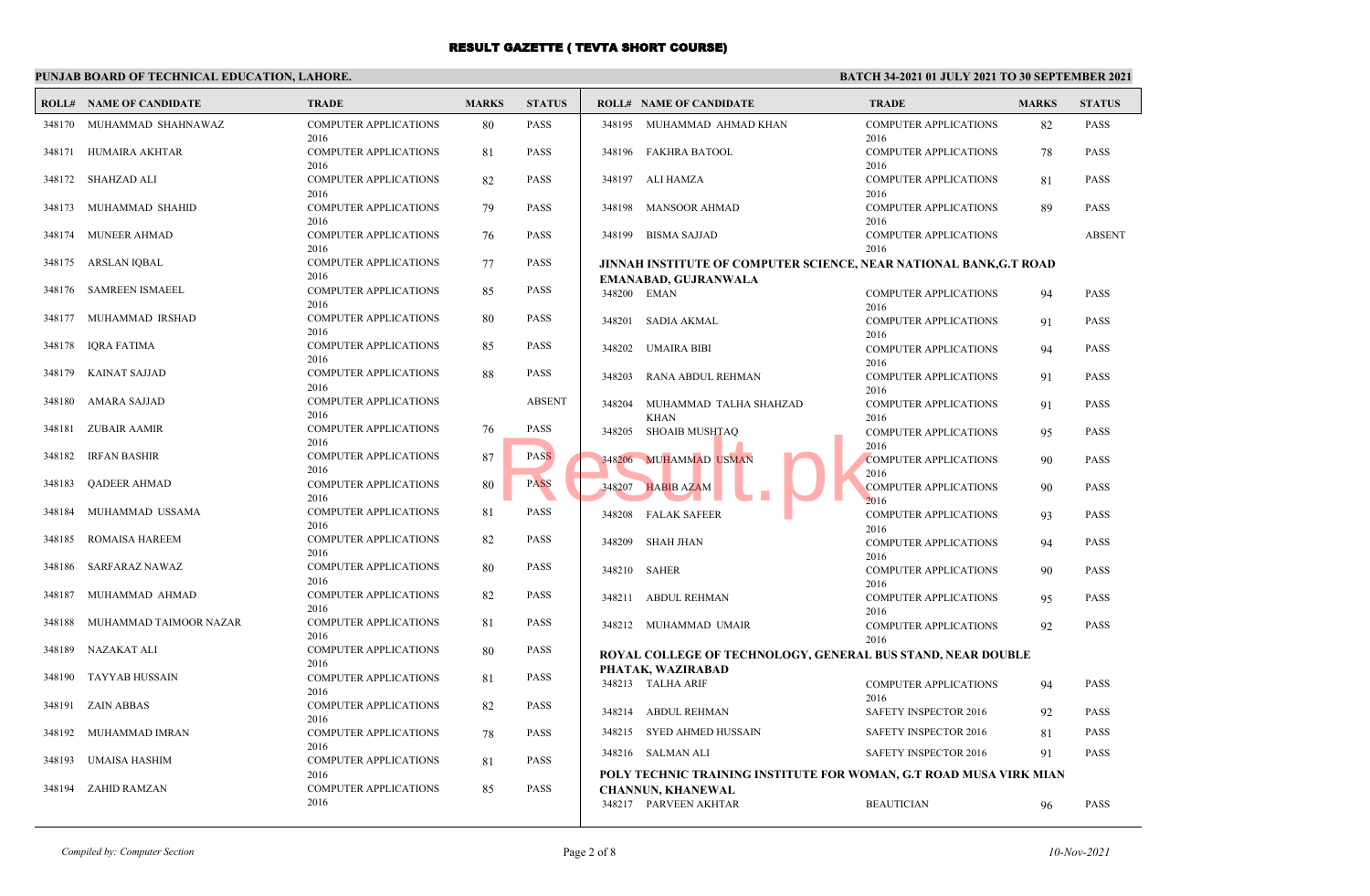#### **PUNJAB BOARD OF TECHNICAL EDUCATION, LAHORE.**

|        | <b>ROLL# NAME OF CANDIDATE</b> | <b>TRADE</b>                         | <b>MARKS</b> | <b>STATUS</b> |        | <b>ROLL# NAME OF CANDIDATE</b>                                     | <b>TRADE</b>                                 | <b>MARKS</b> | <b>STATUS</b> |
|--------|--------------------------------|--------------------------------------|--------------|---------------|--------|--------------------------------------------------------------------|----------------------------------------------|--------------|---------------|
|        | 348170 MUHAMMAD SHAHNAWAZ      | COMPUTER APPLICATIONS<br>2016        | 80           | PASS          |        | 348195 MUHAMMAD AHMAD KHAN                                         | <b>COMPUTER APPLICATIONS</b><br>2016         | 82           | <b>PASS</b>   |
|        | 348171 HUMAIRA AKHTAR          | COMPUTER APPLICATIONS<br>2016        | 81           | <b>PASS</b>   |        | 348196 FAKHRA BATOOL                                               | <b>COMPUTER APPLICATIONS</b><br>2016         | 78           | <b>PASS</b>   |
|        | 348172 SHAHZAD ALI             | COMPUTER APPLICATIONS<br>2016        | 82           | PASS          |        | 348197 ALI HAMZA                                                   | <b>COMPUTER APPLICATIONS</b><br>2016         | 81           | <b>PASS</b>   |
| 348173 | MUHAMMAD SHAHID                | <b>COMPUTER APPLICATIONS</b><br>2016 | 79           | PASS          | 348198 | <b>MANSOOR AHMAD</b>                                               | <b>COMPUTER APPLICATIONS</b><br>2016         | 89           | <b>PASS</b>   |
| 348174 | MUNEER AHMAD                   | <b>COMPUTER APPLICATIONS</b><br>2016 | 76           | PASS          | 348199 | <b>BISMA SAJJAD</b>                                                | <b>COMPUTER APPLICATIONS</b><br>2016         |              | <b>ABSENT</b> |
| 348175 | ARSLAN IQBAL                   | <b>COMPUTER APPLICATIONS</b>         | 77           | PASS          |        | JINNAH INSTITUTE OF COMPUTER SCIENCE, NEAR NATIONAL BANK,G.T ROAD  |                                              |              |               |
|        |                                | 2016                                 |              |               |        | EMANABAD, GUJRANWALA                                               |                                              |              |               |
| 348176 | <b>SAMREEN ISMAEEL</b>         | <b>COMPUTER APPLICATIONS</b><br>2016 | 85           | PASS          |        | 348200 EMAN                                                        | <b>COMPUTER APPLICATIONS</b><br>2016         | 94           | <b>PASS</b>   |
| 348177 | MUHAMMAD IRSHAD                | <b>COMPUTER APPLICATIONS</b><br>2016 | 80           | PASS          |        | 348201 SADIA AKMAL                                                 | <b>COMPUTER APPLICATIONS</b><br>2016         | 91           | <b>PASS</b>   |
| 348178 | <b>IQRA FATIMA</b>             | <b>COMPUTER APPLICATIONS</b><br>2016 | 85           | PASS          |        | 348202 UMAIRA BIBI                                                 | <b>COMPUTER APPLICATIONS</b><br>2016         | 94           | PASS          |
| 348179 | KAINAT SAJJAD                  | <b>COMPUTER APPLICATIONS</b><br>2016 | 88           | PASS          | 348203 | RANA ABDUL REHMAN                                                  | <b>COMPUTER APPLICATIONS</b><br>2016         | 91           | <b>PASS</b>   |
| 348180 | AMARA SAJJAD                   | <b>COMPUTER APPLICATIONS</b><br>2016 |              | <b>ABSENT</b> | 348204 | MUHAMMAD TALHA SHAHZAD<br><b>KHAN</b>                              | <b>COMPUTER APPLICATIONS</b><br>2016         | 91           | <b>PASS</b>   |
| 348181 | ZUBAIR AAMIR                   | <b>COMPUTER APPLICATIONS</b><br>2016 | 76           | PASS          | 348205 | SHOAIB MUSHTAQ                                                     | <b>COMPUTER APPLICATIONS</b><br>2016         | 95           | <b>PASS</b>   |
| 348182 | <b>IRFAN BASHIR</b>            | COMPUTER APPLICATIONS<br>2016        | 87           | <b>PASS</b>   |        | 348206 MUHAMMAD USMAN                                              | <b>COMPUTER APPLICATIONS</b><br>2016         | 90           | <b>PASS</b>   |
| 348183 | <b>QADEER AHMAD</b>            | COMPUTER APPLICATIONS<br>2016        | 80           | <b>PASS</b>   | 348207 | <b>HABIB AZAM</b>                                                  | <b>COMPUTER APPLICATIONS</b><br>2016         | 90           | <b>PASS</b>   |
| 348184 | MUHAMMAD USSAMA                | <b>COMPUTER APPLICATIONS</b><br>2016 | 81           | PASS          |        | 348208 FALAK SAFEER                                                | <b>COMPUTER APPLICATIONS</b><br>2016         | 93           | <b>PASS</b>   |
| 348185 | ROMAISA HAREEM                 | <b>COMPUTER APPLICATIONS</b><br>2016 | 82           | <b>PASS</b>   | 348209 | SHAH JHAN                                                          | <b>COMPUTER APPLICATIONS</b>                 | 94           | PASS          |
| 348186 | SARFARAZ NAWAZ                 | <b>COMPUTER APPLICATIONS</b><br>2016 | 80           | PASS          |        | 348210 SAHER                                                       | 2016<br><b>COMPUTER APPLICATIONS</b><br>2016 | 90           | <b>PASS</b>   |
| 348187 | MUHAMMAD AHMAD                 | <b>COMPUTER APPLICATIONS</b><br>2016 | 82           | PASS          |        | 348211 ABDUL REHMAN                                                | <b>COMPUTER APPLICATIONS</b><br>2016         | 95           | <b>PASS</b>   |
| 348188 | MUHAMMAD TAIMOOR NAZAR         | <b>COMPUTER APPLICATIONS</b><br>2016 | 81           | PASS          |        | 348212 MUHAMMAD UMAIR                                              | <b>COMPUTER APPLICATIONS</b>                 | 92           | <b>PASS</b>   |
|        | 348189 NAZAKAT ALI             | <b>COMPUTER APPLICATIONS</b><br>2016 | 80           | PASS          |        | ROYAL COLLEGE OF TECHNOLOGY, GENERAL BUS STAND, NEAR DOUBLE        | 2016                                         |              |               |
|        | 348190 TAYYAB HUSSAIN          | <b>COMPUTER APPLICATIONS</b>         | 81           | PASS          |        | PHATAK, WAZIRABAD<br>348213 TALHA ARIF                             | <b>COMPUTER APPLICATIONS</b>                 | 94           | <b>PASS</b>   |
|        | 348191 ZAIN ABBAS              | 2016<br><b>COMPUTER APPLICATIONS</b> | 82           | PASS          | 348214 | ABDUL REHMAN                                                       | 2016<br><b>SAFETY INSPECTOR 2016</b>         | 92           | <b>PASS</b>   |
| 348192 | MUHAMMAD IMRAN                 | 2016<br><b>COMPUTER APPLICATIONS</b> | 78           | PASS          |        | 348215 SYED AHMED HUSSAIN                                          | SAFETY INSPECTOR 2016                        | 81           | <b>PASS</b>   |
| 348193 | UMAISA HASHIM                  | 2016<br><b>COMPUTER APPLICATIONS</b> | 81           | PASS          |        | 348216 SALMAN ALI                                                  | <b>SAFETY INSPECTOR 2016</b>                 | 91           | <b>PASS</b>   |
|        |                                | 2016                                 |              |               |        | POLY TECHNIC TRAINING INSTITUTE FOR WOMAN, G.T ROAD MUSA VIRK MIAN |                                              |              |               |
| 348194 | ZAHID RAMZAN                   | COMPUTER APPLICATIONS<br>2016        | 85           | PASS          |        | <b>CHANNUN, KHANEWAL</b><br>348217 PARVEEN AKHTAR                  | <b>BEAUTICIAN</b>                            | 96           | <b>PASS</b>   |
|        |                                |                                      |              |               |        |                                                                    |                                              |              |               |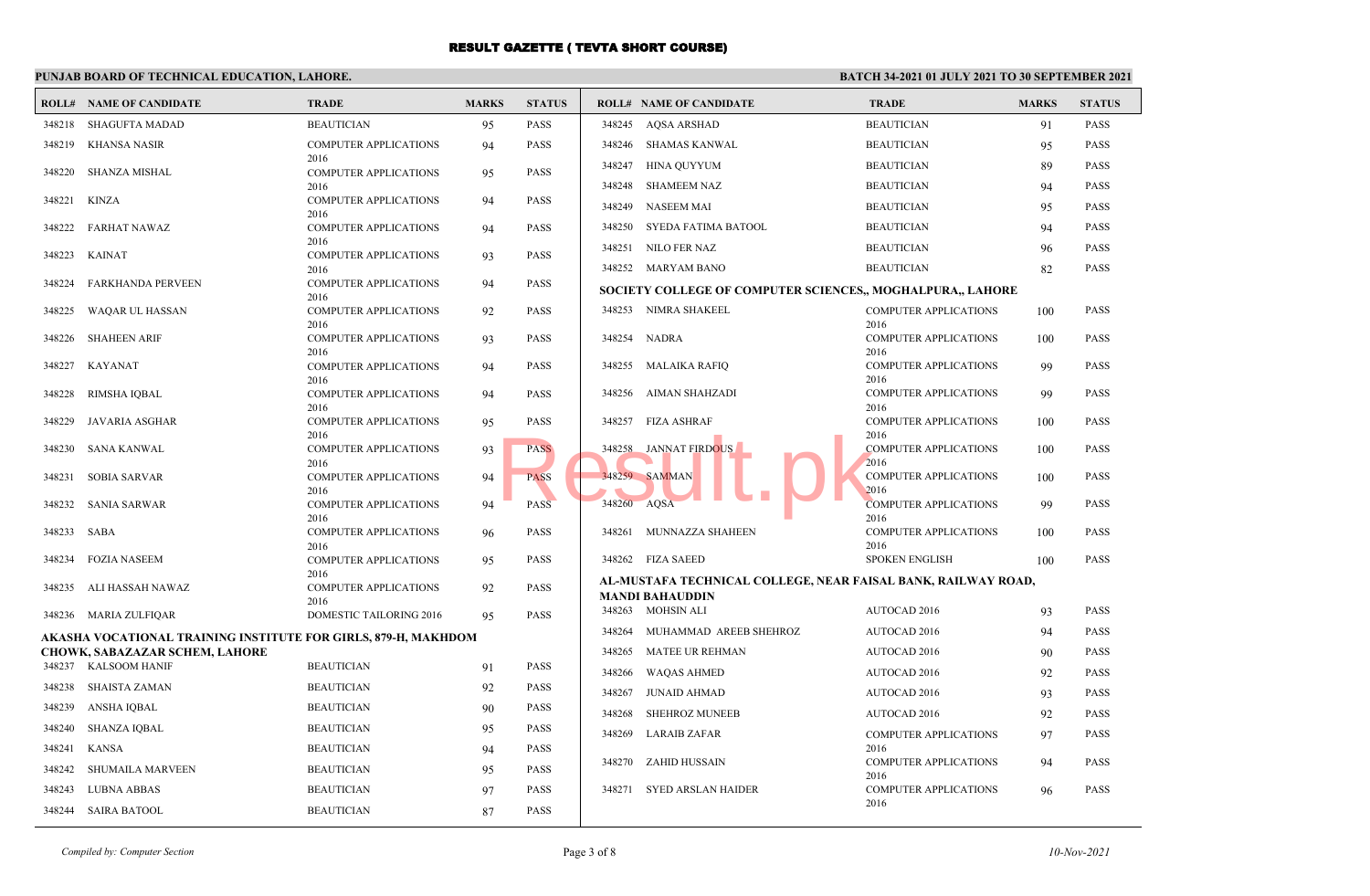### **PUNJAB BOARD OF TECHNICAL EDUCATION, LAHORE.**

|             | <b>ROLL# NAME OF CANDIDATE</b>                                                                   | <b>TRADE</b>                         | <b>MARKS</b> | <b>STATUS</b> |             | <b>ROLL# NAME OF CANDIDATE</b>                                | <b>TRADE</b>                         | <b>MARKS</b> | <b>STATUS</b> |
|-------------|--------------------------------------------------------------------------------------------------|--------------------------------------|--------------|---------------|-------------|---------------------------------------------------------------|--------------------------------------|--------------|---------------|
| 348218      | SHAGUFTA MADAD                                                                                   | <b>BEAUTICIAN</b>                    | 95           | <b>PASS</b>   | 348245      | AOSA ARSHAD                                                   | <b>BEAUTICIAN</b>                    | 91           | <b>PASS</b>   |
|             | 348219 KHANSA NASIR                                                                              | <b>COMPUTER APPLICATIONS</b>         | 94           | <b>PASS</b>   | 348246      | <b>SHAMAS KANWAL</b>                                          | <b>BEAUTICIAN</b>                    | 95           | <b>PASS</b>   |
| 348220      | SHANZA MISHAL                                                                                    | 2016<br><b>COMPUTER APPLICATIONS</b> |              | <b>PASS</b>   | 348247      | <b>HINA QUYYUM</b>                                            | <b>BEAUTICIAN</b>                    | 89           | <b>PASS</b>   |
|             |                                                                                                  | 2016                                 | 95           |               | 348248      | <b>SHAMEEM NAZ</b>                                            | <b>BEAUTICIAN</b>                    | 94           | <b>PASS</b>   |
| 348221      | KINZA                                                                                            | <b>COMPUTER APPLICATIONS</b>         | 94           | <b>PASS</b>   | 348249      | <b>NASEEM MAI</b>                                             | <b>BEAUTICIAN</b>                    | 95           | <b>PASS</b>   |
| 348222      | FARHAT NAWAZ                                                                                     | 2016<br><b>COMPUTER APPLICATIONS</b> | 94           | <b>PASS</b>   | 348250      | SYEDA FATIMA BATOOL                                           | <b>BEAUTICIAN</b>                    | 94           | <b>PASS</b>   |
|             |                                                                                                  | 2016                                 |              |               | 348251      | NILO FER NAZ                                                  | <b>BEAUTICIAN</b>                    | 96           | <b>PASS</b>   |
| 348223      | KAINAT                                                                                           | <b>COMPUTER APPLICATIONS</b><br>2016 | 93           | <b>PASS</b>   |             | 348252 MARYAM BANO                                            | <b>BEAUTICIAN</b>                    | 82           | <b>PASS</b>   |
| 348224      | <b>FARKHANDA PERVEEN</b>                                                                         | <b>COMPUTER APPLICATIONS</b>         | 94           | <b>PASS</b>   |             | SOCIETY COLLEGE OF COMPUTER SCIENCES,, MOGHALPURA,, LAHORE    |                                      |              |               |
| 348225      | WAQAR UL HASSAN                                                                                  | 2016<br><b>COMPUTER APPLICATIONS</b> | 92           | <b>PASS</b>   |             | 348253 NIMRA SHAKEEL                                          | <b>COMPUTER APPLICATIONS</b>         | 100          | <b>PASS</b>   |
|             |                                                                                                  | 2016                                 |              |               |             |                                                               | 2016                                 |              |               |
|             | 348226 SHAHEEN ARIF                                                                              | <b>COMPUTER APPLICATIONS</b><br>2016 | 93           | <b>PASS</b>   |             | 348254 NADRA                                                  | COMPUTER APPLICATIONS<br>2016        | 100          | <b>PASS</b>   |
|             | 348227 KAYANAT                                                                                   | <b>COMPUTER APPLICATIONS</b>         | 94           | <b>PASS</b>   |             | 348255 MALAIKA RAFIQ                                          | <b>COMPUTER APPLICATIONS</b>         | 99           | <b>PASS</b>   |
| 348228      | RIMSHA IQBAL                                                                                     | 2016<br><b>COMPUTER APPLICATIONS</b> | 94           | <b>PASS</b>   | 348256      | AIMAN SHAHZADI                                                | 2016<br><b>COMPUTER APPLICATIONS</b> | 99           | <b>PASS</b>   |
|             |                                                                                                  | 2016                                 |              |               |             |                                                               | 2016                                 |              |               |
| 348229      | JAVARIA ASGHAR                                                                                   | <b>COMPUTER APPLICATIONS</b>         | 95           | <b>PASS</b>   | 348257      | FIZA ASHRAF                                                   | <b>COMPUTER APPLICATIONS</b>         | 100          | <b>PASS</b>   |
|             | 348230 SANA KANWAL                                                                               | 2016<br><b>COMPUTER APPLICATIONS</b> | 93           | <b>PASS</b>   | 348258      | <b>JANNAT FIRDOUS</b>                                         | 2016<br><b>COMPUTER APPLICATIONS</b> | 100          | <b>PASS</b>   |
|             |                                                                                                  | 2016                                 |              |               |             |                                                               | 2016                                 |              |               |
|             | 348231 SOBIA SARVAR                                                                              | <b>COMPUTER APPLICATIONS</b><br>2016 | 94           | <b>PASS</b>   |             | 348259 SAMMAN                                                 | <b>COMPUTER APPLICATIONS</b><br>2016 | 100          | <b>PASS</b>   |
|             | 348232 SANIA SARWAR                                                                              | <b>COMPUTER APPLICATIONS</b>         | 94           | <b>PASS</b>   | 348260 AQSA |                                                               | <b>COMPUTER APPLICATIONS</b>         | 99           | <b>PASS</b>   |
| 348233 SABA |                                                                                                  | 2016<br><b>COMPUTER APPLICATIONS</b> | 96           | <b>PASS</b>   |             | 348261 MUNNAZZA SHAHEEN                                       | 2016<br>COMPUTER APPLICATIONS        | 100          | <b>PASS</b>   |
|             |                                                                                                  | 2016                                 |              |               |             |                                                               | 2016                                 |              |               |
| 348234      | <b>FOZIA NASEEM</b>                                                                              | <b>COMPUTER APPLICATIONS</b><br>2016 | 95           | <b>PASS</b>   |             | 348262 FIZA SAEED                                             | <b>SPOKEN ENGLISH</b>                | 100          | <b>PASS</b>   |
|             | 348235 ALI HASSAH NAWAZ                                                                          | <b>COMPUTER APPLICATIONS</b>         | 92           | <b>PASS</b>   |             | AL-MUSTAFA TECHNICAL COLLEGE, NEAR FAISAL BANK, RAILWAY ROAD, |                                      |              |               |
|             |                                                                                                  | 2016                                 |              |               |             | <b>MANDI BAHAUDDIN</b><br>348263 MOHSIN ALI                   | AUTOCAD 2016                         | 93           | <b>PASS</b>   |
|             | 348236 MARIA ZULFIQAR                                                                            | DOMESTIC TAILORING 2016              | 95           | <b>PASS</b>   | 348264      | MUHAMMAD AREEB SHEHROZ                                        | <b>AUTOCAD 2016</b>                  | 94           | <b>PASS</b>   |
|             | AKASHA VOCATIONAL TRAINING INSTITUTE FOR GIRLS, 879-H, MAKHDOM<br>CHOWK, SABAZAZAR SCHEM, LAHORE |                                      |              |               | 348265      | <b>MATEE UR REHMAN</b>                                        | <b>AUTOCAD 2016</b>                  | 90           | <b>PASS</b>   |
|             | 348237 KALSOOM HANIF                                                                             | <b>BEAUTICIAN</b>                    | 91           | <b>PASS</b>   | 348266      | <b>WAQAS AHMED</b>                                            | <b>AUTOCAD 2016</b>                  | 92           | <b>PASS</b>   |
|             | 348238 SHAISTA ZAMAN                                                                             | <b>BEAUTICIAN</b>                    | 92           | <b>PASS</b>   | 348267      | <b>JUNAID AHMAD</b>                                           | <b>AUTOCAD 2016</b>                  | 93           | <b>PASS</b>   |
|             | 348239 ANSHA IQBAL                                                                               | <b>BEAUTICIAN</b>                    | 90           | <b>PASS</b>   | 348268      | <b>SHEHROZ MUNEEB</b>                                         | AUTOCAD 2016                         | 92           | <b>PASS</b>   |
|             | 348240 SHANZA IQBAL                                                                              | <b>BEAUTICIAN</b>                    | 95           | <b>PASS</b>   | 348269      | <b>LARAIB ZAFAR</b>                                           | <b>COMPUTER APPLICATIONS</b>         | 97           | <b>PASS</b>   |
| 348241      | KANSA                                                                                            | <b>BEAUTICIAN</b>                    | 94           | <b>PASS</b>   |             |                                                               | 2016                                 |              |               |
|             | 348242 SHUMAILA MARVEEN                                                                          | <b>BEAUTICIAN</b>                    | 95           | <b>PASS</b>   | 348270      | ZAHID HUSSAIN                                                 | <b>COMPUTER APPLICATIONS</b>         | 94           | <b>PASS</b>   |
|             | 348243 LUBNA ABBAS                                                                               | <b>BEAUTICIAN</b>                    | 97           | <b>PASS</b>   | 348271      | <b>SYED ARSLAN HAIDER</b>                                     | 2016<br><b>COMPUTER APPLICATIONS</b> | 96           | <b>PASS</b>   |
|             | 348244 SAIRA BATOOL                                                                              | <b>BEAUTICIAN</b>                    | 87           | <b>PASS</b>   |             |                                                               | 2016                                 |              |               |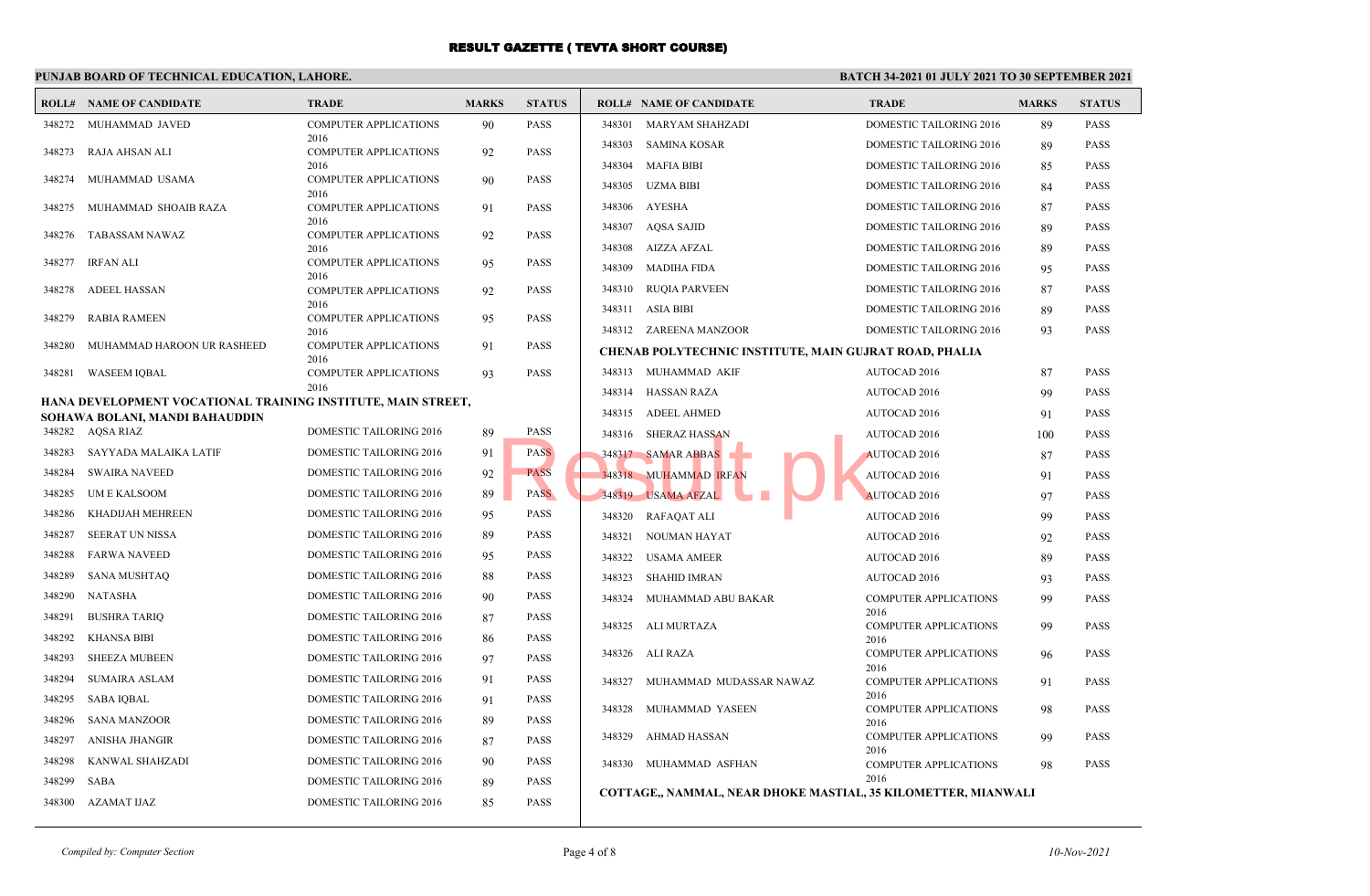### **PUNJAB BOARD OF TECHNICAL EDUCATION, LAHORE.**

| <b>COMPUTER APPLICATIONS</b><br><b>PASS</b><br>DOMESTIC TAILORING 2016<br><b>PASS</b><br>348272<br>MUHAMMAD JAVED<br>90<br>348301<br>MARYAM SHAHZADI<br>89<br>2016<br><b>SAMINA KOSAR</b><br>348303<br><b>DOMESTIC TAILORING 2016</b><br>89<br><b>PASS</b><br>PASS<br>348273<br>RAJA AHSAN ALI<br><b>COMPUTER APPLICATIONS</b><br>92<br><b>MAFIA BIBI</b><br>348304<br>DOMESTIC TAILORING 2016<br><b>PASS</b><br>2016<br>85<br><b>COMPUTER APPLICATIONS</b><br>348274<br>MUHAMMAD USAMA<br>90<br><b>PASS</b><br><b>UZMA BIBI</b><br>348305<br><b>PASS</b><br><b>DOMESTIC TAILORING 2016</b><br>84<br>2016<br>348306<br>AYESHA<br>DOMESTIC TAILORING 2016<br><b>PASS</b><br>348275<br>MUHAMMAD SHOAIB RAZA<br><b>PASS</b><br>87<br><b>COMPUTER APPLICATIONS</b><br>91<br>2016<br>348307<br>AQSA SAJID<br><b>PASS</b><br>DOMESTIC TAILORING 2016<br>89<br>TABASSAM NAWAZ<br><b>COMPUTER APPLICATIONS</b><br><b>PASS</b><br>348276<br>92<br>348308<br>AIZZA AFZAL<br>DOMESTIC TAILORING 2016<br><b>PASS</b><br>89<br>2016<br>IRFAN ALI<br>348277<br><b>COMPUTER APPLICATIONS</b><br><b>PASS</b><br>95<br>348309<br><b>MADIHA FIDA</b><br><b>PASS</b><br>DOMESTIC TAILORING 2016<br>95<br>2016<br>348310<br><b>RUQIA PARVEEN</b><br>DOMESTIC TAILORING 2016<br><b>PASS</b><br>87<br>348278<br>ADEEL HASSAN<br><b>COMPUTER APPLICATIONS</b><br>92<br><b>PASS</b><br>2016<br><b>ASIA BIBI</b><br><b>PASS</b><br>348311<br>DOMESTIC TAILORING 2016<br>89<br>348279<br>RABIA RAMEEN<br><b>COMPUTER APPLICATIONS</b><br>95<br><b>PASS</b><br>348312 ZAREENA MANZOOR<br>DOMESTIC TAILORING 2016<br><b>PASS</b><br>93<br>2016<br>348280<br>MUHAMMAD HAROON UR RASHEED<br>PASS<br><b>COMPUTER APPLICATIONS</b><br>91<br>CHENAB POLYTECHNIC INSTITUTE, MAIN GUJRAT ROAD, PHALIA<br>2016<br>348313 MUHAMMAD AKIF<br><b>PASS</b><br><b>AUTOCAD 2016</b><br>348281 WASEEM IQBAL<br><b>COMPUTER APPLICATIONS</b><br>93<br><b>PASS</b><br>87<br>2016<br>348314 HASSAN RAZA<br>AUTOCAD 2016<br><b>PASS</b><br>99<br>HANA DEVELOPMENT VOCATIONAL TRAINING INSTITUTE, MAIN STREET,<br>348315 ADEEL AHMED<br><b>PASS</b><br>AUTOCAD 2016<br>91<br>SOHAWA BOLANI, MANDI BAHAUDDIN<br>348282 AQSA RIAZ<br>DOMESTIC TAILORING 2016<br>89<br><b>PASS</b><br>348316 SHERAZ HASSAN<br><b>PASS</b><br>AUTOCAD 2016<br>100<br>348283<br>SAYYADA MALAIKA LATIF<br>DOMESTIC TAILORING 2016<br>91<br><b>PASS</b><br>348317 SAMAR ABBAS<br>AUTOCAD 2016<br>87<br><b>PASS</b><br>348284<br><b>SWAIRA NAVEED</b><br>DOMESTIC TAILORING 2016<br>92<br><b>PASS</b><br>348318 MUHAMMAD IRFAN<br>AUTOCAD 2016<br><b>PASS</b><br>91<br><b>PASS</b><br>348285<br>UM E KALSOOM<br>DOMESTIC TAILORING 2016<br>89<br>348319 USAMA AFZAL<br><b>AUTOCAD 2016</b><br><b>PASS</b><br>97<br>348286<br>KHADIJAH MEHREEN<br>DOMESTIC TAILORING 2016<br><b>PASS</b><br>95<br>348320<br>RAFAQAT ALI<br>AUTOCAD 2016<br>99<br><b>PASS</b><br>348287<br>SEERAT UN NISSA<br>DOMESTIC TAILORING 2016<br>89<br><b>PASS</b><br>348321<br>NOUMAN HAYAT<br><b>PASS</b><br><b>AUTOCAD 2016</b><br>92<br>348288<br><b>FARWA NAVEED</b><br>DOMESTIC TAILORING 2016<br><b>PASS</b><br>95<br><b>USAMA AMEER</b><br>348322<br>AUTOCAD 2016<br>89<br><b>PASS</b><br>348289<br><b>SANA MUSHTAQ</b><br>DOMESTIC TAILORING 2016<br>88<br><b>PASS</b><br>348323<br>SHAHID IMRAN<br><b>PASS</b><br><b>AUTOCAD 2016</b><br>93<br>348290<br>NATASHA<br>DOMESTIC TAILORING 2016<br>PASS<br>90<br>348324<br>MUHAMMAD ABU BAKAR<br><b>COMPUTER APPLICATIONS</b><br>99<br><b>PASS</b><br>2016<br>348291<br><b>BUSHRA TARIQ</b><br>DOMESTIC TAILORING 2016<br>87<br>PASS<br>348325 ALI MURTAZA<br>COMPUTER APPLICATIONS<br><b>PASS</b><br>99<br>348292<br><b>KHANSA BIBI</b><br>PASS<br>DOMESTIC TAILORING 2016<br>86<br>2016<br><b>PASS</b><br>348326<br>ALI RAZA<br>COMPUTER APPLICATIONS<br>96<br>348293<br><b>SHEEZA MUBEEN</b><br>DOMESTIC TAILORING 2016<br><b>PASS</b><br>97<br>2016<br>348294<br><b>SUMAIRA ASLAM</b><br>DOMESTIC TAILORING 2016<br>PASS<br>91<br>348327<br><b>COMPUTER APPLICATIONS</b><br><b>PASS</b><br>MUHAMMAD MUDASSAR NAWAZ<br>91<br>2016<br>348295<br><b>SABA IQBAL</b><br>DOMESTIC TAILORING 2016<br><b>PASS</b><br>91<br>348328<br>MUHAMMAD YASEEN<br><b>PASS</b><br>COMPUTER APPLICATIONS<br>98<br>348296<br>SANA MANZOOR<br>DOMESTIC TAILORING 2016<br>PASS<br>89<br>2016<br><b>PASS</b><br>348329<br>AHMAD HASSAN<br><b>COMPUTER APPLICATIONS</b><br>99<br>ANISHA JHANGIR<br>348297<br>DOMESTIC TAILORING 2016<br><b>PASS</b><br>87<br>2016<br>348298<br>KANWAL SHAHZADI<br><b>DOMESTIC TAILORING 2016</b><br>90<br><b>PASS</b><br>348330 MUHAMMAD ASFHAN<br><b>COMPUTER APPLICATIONS</b><br><b>PASS</b><br>98<br>2016<br>348299<br>SABA<br>DOMESTIC TAILORING 2016<br><b>PASS</b><br>89<br>COTTAGE,, NAMMAL, NEAR DHOKE MASTIAL, 35 KILOMETTER, MIANWALI<br>348300 AZAMAT IJAZ<br>DOMESTIC TAILORING 2016<br>85<br><b>PASS</b> | <b>ROLL# NAME OF CANDIDATE</b> | <b>TRADE</b> | <b>MARKS</b> | <b>STATUS</b> | <b>ROLL# NAME OF CANDIDATE</b> | <b>TRADE</b> | <b>MARKS</b> | <b>STATUS</b> |
|-------------------------------------------------------------------------------------------------------------------------------------------------------------------------------------------------------------------------------------------------------------------------------------------------------------------------------------------------------------------------------------------------------------------------------------------------------------------------------------------------------------------------------------------------------------------------------------------------------------------------------------------------------------------------------------------------------------------------------------------------------------------------------------------------------------------------------------------------------------------------------------------------------------------------------------------------------------------------------------------------------------------------------------------------------------------------------------------------------------------------------------------------------------------------------------------------------------------------------------------------------------------------------------------------------------------------------------------------------------------------------------------------------------------------------------------------------------------------------------------------------------------------------------------------------------------------------------------------------------------------------------------------------------------------------------------------------------------------------------------------------------------------------------------------------------------------------------------------------------------------------------------------------------------------------------------------------------------------------------------------------------------------------------------------------------------------------------------------------------------------------------------------------------------------------------------------------------------------------------------------------------------------------------------------------------------------------------------------------------------------------------------------------------------------------------------------------------------------------------------------------------------------------------------------------------------------------------------------------------------------------------------------------------------------------------------------------------------------------------------------------------------------------------------------------------------------------------------------------------------------------------------------------------------------------------------------------------------------------------------------------------------------------------------------------------------------------------------------------------------------------------------------------------------------------------------------------------------------------------------------------------------------------------------------------------------------------------------------------------------------------------------------------------------------------------------------------------------------------------------------------------------------------------------------------------------------------------------------------------------------------------------------------------------------------------------------------------------------------------------------------------------------------------------------------------------------------------------------------------------------------------------------------------------------------------------------------------------------------------------------------------------------------------------------------------------------------------------------------------------------------------------------------------------------------------------------------------------------------------------------------------------------------------------------------------------------------------------------------------------------------------------------------------------------------------------------------------------------------------------------------------------------------------------------------------------------------------------------------------------------------------------------------------------------------------------------------------------------------------------------------------------------------------------------------------------------------------------------------------------------------------|--------------------------------|--------------|--------------|---------------|--------------------------------|--------------|--------------|---------------|
|                                                                                                                                                                                                                                                                                                                                                                                                                                                                                                                                                                                                                                                                                                                                                                                                                                                                                                                                                                                                                                                                                                                                                                                                                                                                                                                                                                                                                                                                                                                                                                                                                                                                                                                                                                                                                                                                                                                                                                                                                                                                                                                                                                                                                                                                                                                                                                                                                                                                                                                                                                                                                                                                                                                                                                                                                                                                                                                                                                                                                                                                                                                                                                                                                                                                                                                                                                                                                                                                                                                                                                                                                                                                                                                                                                                                                                                                                                                                                                                                                                                                                                                                                                                                                                                                                                                                                                                                                                                                                                                                                                                                                                                                                                                                                                                                                                                                                     |                                |              |              |               |                                |              |              |               |
|                                                                                                                                                                                                                                                                                                                                                                                                                                                                                                                                                                                                                                                                                                                                                                                                                                                                                                                                                                                                                                                                                                                                                                                                                                                                                                                                                                                                                                                                                                                                                                                                                                                                                                                                                                                                                                                                                                                                                                                                                                                                                                                                                                                                                                                                                                                                                                                                                                                                                                                                                                                                                                                                                                                                                                                                                                                                                                                                                                                                                                                                                                                                                                                                                                                                                                                                                                                                                                                                                                                                                                                                                                                                                                                                                                                                                                                                                                                                                                                                                                                                                                                                                                                                                                                                                                                                                                                                                                                                                                                                                                                                                                                                                                                                                                                                                                                                                     |                                |              |              |               |                                |              |              |               |
|                                                                                                                                                                                                                                                                                                                                                                                                                                                                                                                                                                                                                                                                                                                                                                                                                                                                                                                                                                                                                                                                                                                                                                                                                                                                                                                                                                                                                                                                                                                                                                                                                                                                                                                                                                                                                                                                                                                                                                                                                                                                                                                                                                                                                                                                                                                                                                                                                                                                                                                                                                                                                                                                                                                                                                                                                                                                                                                                                                                                                                                                                                                                                                                                                                                                                                                                                                                                                                                                                                                                                                                                                                                                                                                                                                                                                                                                                                                                                                                                                                                                                                                                                                                                                                                                                                                                                                                                                                                                                                                                                                                                                                                                                                                                                                                                                                                                                     |                                |              |              |               |                                |              |              |               |
|                                                                                                                                                                                                                                                                                                                                                                                                                                                                                                                                                                                                                                                                                                                                                                                                                                                                                                                                                                                                                                                                                                                                                                                                                                                                                                                                                                                                                                                                                                                                                                                                                                                                                                                                                                                                                                                                                                                                                                                                                                                                                                                                                                                                                                                                                                                                                                                                                                                                                                                                                                                                                                                                                                                                                                                                                                                                                                                                                                                                                                                                                                                                                                                                                                                                                                                                                                                                                                                                                                                                                                                                                                                                                                                                                                                                                                                                                                                                                                                                                                                                                                                                                                                                                                                                                                                                                                                                                                                                                                                                                                                                                                                                                                                                                                                                                                                                                     |                                |              |              |               |                                |              |              |               |
|                                                                                                                                                                                                                                                                                                                                                                                                                                                                                                                                                                                                                                                                                                                                                                                                                                                                                                                                                                                                                                                                                                                                                                                                                                                                                                                                                                                                                                                                                                                                                                                                                                                                                                                                                                                                                                                                                                                                                                                                                                                                                                                                                                                                                                                                                                                                                                                                                                                                                                                                                                                                                                                                                                                                                                                                                                                                                                                                                                                                                                                                                                                                                                                                                                                                                                                                                                                                                                                                                                                                                                                                                                                                                                                                                                                                                                                                                                                                                                                                                                                                                                                                                                                                                                                                                                                                                                                                                                                                                                                                                                                                                                                                                                                                                                                                                                                                                     |                                |              |              |               |                                |              |              |               |
|                                                                                                                                                                                                                                                                                                                                                                                                                                                                                                                                                                                                                                                                                                                                                                                                                                                                                                                                                                                                                                                                                                                                                                                                                                                                                                                                                                                                                                                                                                                                                                                                                                                                                                                                                                                                                                                                                                                                                                                                                                                                                                                                                                                                                                                                                                                                                                                                                                                                                                                                                                                                                                                                                                                                                                                                                                                                                                                                                                                                                                                                                                                                                                                                                                                                                                                                                                                                                                                                                                                                                                                                                                                                                                                                                                                                                                                                                                                                                                                                                                                                                                                                                                                                                                                                                                                                                                                                                                                                                                                                                                                                                                                                                                                                                                                                                                                                                     |                                |              |              |               |                                |              |              |               |
|                                                                                                                                                                                                                                                                                                                                                                                                                                                                                                                                                                                                                                                                                                                                                                                                                                                                                                                                                                                                                                                                                                                                                                                                                                                                                                                                                                                                                                                                                                                                                                                                                                                                                                                                                                                                                                                                                                                                                                                                                                                                                                                                                                                                                                                                                                                                                                                                                                                                                                                                                                                                                                                                                                                                                                                                                                                                                                                                                                                                                                                                                                                                                                                                                                                                                                                                                                                                                                                                                                                                                                                                                                                                                                                                                                                                                                                                                                                                                                                                                                                                                                                                                                                                                                                                                                                                                                                                                                                                                                                                                                                                                                                                                                                                                                                                                                                                                     |                                |              |              |               |                                |              |              |               |
|                                                                                                                                                                                                                                                                                                                                                                                                                                                                                                                                                                                                                                                                                                                                                                                                                                                                                                                                                                                                                                                                                                                                                                                                                                                                                                                                                                                                                                                                                                                                                                                                                                                                                                                                                                                                                                                                                                                                                                                                                                                                                                                                                                                                                                                                                                                                                                                                                                                                                                                                                                                                                                                                                                                                                                                                                                                                                                                                                                                                                                                                                                                                                                                                                                                                                                                                                                                                                                                                                                                                                                                                                                                                                                                                                                                                                                                                                                                                                                                                                                                                                                                                                                                                                                                                                                                                                                                                                                                                                                                                                                                                                                                                                                                                                                                                                                                                                     |                                |              |              |               |                                |              |              |               |
|                                                                                                                                                                                                                                                                                                                                                                                                                                                                                                                                                                                                                                                                                                                                                                                                                                                                                                                                                                                                                                                                                                                                                                                                                                                                                                                                                                                                                                                                                                                                                                                                                                                                                                                                                                                                                                                                                                                                                                                                                                                                                                                                                                                                                                                                                                                                                                                                                                                                                                                                                                                                                                                                                                                                                                                                                                                                                                                                                                                                                                                                                                                                                                                                                                                                                                                                                                                                                                                                                                                                                                                                                                                                                                                                                                                                                                                                                                                                                                                                                                                                                                                                                                                                                                                                                                                                                                                                                                                                                                                                                                                                                                                                                                                                                                                                                                                                                     |                                |              |              |               |                                |              |              |               |
|                                                                                                                                                                                                                                                                                                                                                                                                                                                                                                                                                                                                                                                                                                                                                                                                                                                                                                                                                                                                                                                                                                                                                                                                                                                                                                                                                                                                                                                                                                                                                                                                                                                                                                                                                                                                                                                                                                                                                                                                                                                                                                                                                                                                                                                                                                                                                                                                                                                                                                                                                                                                                                                                                                                                                                                                                                                                                                                                                                                                                                                                                                                                                                                                                                                                                                                                                                                                                                                                                                                                                                                                                                                                                                                                                                                                                                                                                                                                                                                                                                                                                                                                                                                                                                                                                                                                                                                                                                                                                                                                                                                                                                                                                                                                                                                                                                                                                     |                                |              |              |               |                                |              |              |               |
|                                                                                                                                                                                                                                                                                                                                                                                                                                                                                                                                                                                                                                                                                                                                                                                                                                                                                                                                                                                                                                                                                                                                                                                                                                                                                                                                                                                                                                                                                                                                                                                                                                                                                                                                                                                                                                                                                                                                                                                                                                                                                                                                                                                                                                                                                                                                                                                                                                                                                                                                                                                                                                                                                                                                                                                                                                                                                                                                                                                                                                                                                                                                                                                                                                                                                                                                                                                                                                                                                                                                                                                                                                                                                                                                                                                                                                                                                                                                                                                                                                                                                                                                                                                                                                                                                                                                                                                                                                                                                                                                                                                                                                                                                                                                                                                                                                                                                     |                                |              |              |               |                                |              |              |               |
|                                                                                                                                                                                                                                                                                                                                                                                                                                                                                                                                                                                                                                                                                                                                                                                                                                                                                                                                                                                                                                                                                                                                                                                                                                                                                                                                                                                                                                                                                                                                                                                                                                                                                                                                                                                                                                                                                                                                                                                                                                                                                                                                                                                                                                                                                                                                                                                                                                                                                                                                                                                                                                                                                                                                                                                                                                                                                                                                                                                                                                                                                                                                                                                                                                                                                                                                                                                                                                                                                                                                                                                                                                                                                                                                                                                                                                                                                                                                                                                                                                                                                                                                                                                                                                                                                                                                                                                                                                                                                                                                                                                                                                                                                                                                                                                                                                                                                     |                                |              |              |               |                                |              |              |               |
|                                                                                                                                                                                                                                                                                                                                                                                                                                                                                                                                                                                                                                                                                                                                                                                                                                                                                                                                                                                                                                                                                                                                                                                                                                                                                                                                                                                                                                                                                                                                                                                                                                                                                                                                                                                                                                                                                                                                                                                                                                                                                                                                                                                                                                                                                                                                                                                                                                                                                                                                                                                                                                                                                                                                                                                                                                                                                                                                                                                                                                                                                                                                                                                                                                                                                                                                                                                                                                                                                                                                                                                                                                                                                                                                                                                                                                                                                                                                                                                                                                                                                                                                                                                                                                                                                                                                                                                                                                                                                                                                                                                                                                                                                                                                                                                                                                                                                     |                                |              |              |               |                                |              |              |               |
|                                                                                                                                                                                                                                                                                                                                                                                                                                                                                                                                                                                                                                                                                                                                                                                                                                                                                                                                                                                                                                                                                                                                                                                                                                                                                                                                                                                                                                                                                                                                                                                                                                                                                                                                                                                                                                                                                                                                                                                                                                                                                                                                                                                                                                                                                                                                                                                                                                                                                                                                                                                                                                                                                                                                                                                                                                                                                                                                                                                                                                                                                                                                                                                                                                                                                                                                                                                                                                                                                                                                                                                                                                                                                                                                                                                                                                                                                                                                                                                                                                                                                                                                                                                                                                                                                                                                                                                                                                                                                                                                                                                                                                                                                                                                                                                                                                                                                     |                                |              |              |               |                                |              |              |               |
|                                                                                                                                                                                                                                                                                                                                                                                                                                                                                                                                                                                                                                                                                                                                                                                                                                                                                                                                                                                                                                                                                                                                                                                                                                                                                                                                                                                                                                                                                                                                                                                                                                                                                                                                                                                                                                                                                                                                                                                                                                                                                                                                                                                                                                                                                                                                                                                                                                                                                                                                                                                                                                                                                                                                                                                                                                                                                                                                                                                                                                                                                                                                                                                                                                                                                                                                                                                                                                                                                                                                                                                                                                                                                                                                                                                                                                                                                                                                                                                                                                                                                                                                                                                                                                                                                                                                                                                                                                                                                                                                                                                                                                                                                                                                                                                                                                                                                     |                                |              |              |               |                                |              |              |               |
|                                                                                                                                                                                                                                                                                                                                                                                                                                                                                                                                                                                                                                                                                                                                                                                                                                                                                                                                                                                                                                                                                                                                                                                                                                                                                                                                                                                                                                                                                                                                                                                                                                                                                                                                                                                                                                                                                                                                                                                                                                                                                                                                                                                                                                                                                                                                                                                                                                                                                                                                                                                                                                                                                                                                                                                                                                                                                                                                                                                                                                                                                                                                                                                                                                                                                                                                                                                                                                                                                                                                                                                                                                                                                                                                                                                                                                                                                                                                                                                                                                                                                                                                                                                                                                                                                                                                                                                                                                                                                                                                                                                                                                                                                                                                                                                                                                                                                     |                                |              |              |               |                                |              |              |               |
|                                                                                                                                                                                                                                                                                                                                                                                                                                                                                                                                                                                                                                                                                                                                                                                                                                                                                                                                                                                                                                                                                                                                                                                                                                                                                                                                                                                                                                                                                                                                                                                                                                                                                                                                                                                                                                                                                                                                                                                                                                                                                                                                                                                                                                                                                                                                                                                                                                                                                                                                                                                                                                                                                                                                                                                                                                                                                                                                                                                                                                                                                                                                                                                                                                                                                                                                                                                                                                                                                                                                                                                                                                                                                                                                                                                                                                                                                                                                                                                                                                                                                                                                                                                                                                                                                                                                                                                                                                                                                                                                                                                                                                                                                                                                                                                                                                                                                     |                                |              |              |               |                                |              |              |               |
|                                                                                                                                                                                                                                                                                                                                                                                                                                                                                                                                                                                                                                                                                                                                                                                                                                                                                                                                                                                                                                                                                                                                                                                                                                                                                                                                                                                                                                                                                                                                                                                                                                                                                                                                                                                                                                                                                                                                                                                                                                                                                                                                                                                                                                                                                                                                                                                                                                                                                                                                                                                                                                                                                                                                                                                                                                                                                                                                                                                                                                                                                                                                                                                                                                                                                                                                                                                                                                                                                                                                                                                                                                                                                                                                                                                                                                                                                                                                                                                                                                                                                                                                                                                                                                                                                                                                                                                                                                                                                                                                                                                                                                                                                                                                                                                                                                                                                     |                                |              |              |               |                                |              |              |               |
|                                                                                                                                                                                                                                                                                                                                                                                                                                                                                                                                                                                                                                                                                                                                                                                                                                                                                                                                                                                                                                                                                                                                                                                                                                                                                                                                                                                                                                                                                                                                                                                                                                                                                                                                                                                                                                                                                                                                                                                                                                                                                                                                                                                                                                                                                                                                                                                                                                                                                                                                                                                                                                                                                                                                                                                                                                                                                                                                                                                                                                                                                                                                                                                                                                                                                                                                                                                                                                                                                                                                                                                                                                                                                                                                                                                                                                                                                                                                                                                                                                                                                                                                                                                                                                                                                                                                                                                                                                                                                                                                                                                                                                                                                                                                                                                                                                                                                     |                                |              |              |               |                                |              |              |               |
|                                                                                                                                                                                                                                                                                                                                                                                                                                                                                                                                                                                                                                                                                                                                                                                                                                                                                                                                                                                                                                                                                                                                                                                                                                                                                                                                                                                                                                                                                                                                                                                                                                                                                                                                                                                                                                                                                                                                                                                                                                                                                                                                                                                                                                                                                                                                                                                                                                                                                                                                                                                                                                                                                                                                                                                                                                                                                                                                                                                                                                                                                                                                                                                                                                                                                                                                                                                                                                                                                                                                                                                                                                                                                                                                                                                                                                                                                                                                                                                                                                                                                                                                                                                                                                                                                                                                                                                                                                                                                                                                                                                                                                                                                                                                                                                                                                                                                     |                                |              |              |               |                                |              |              |               |
|                                                                                                                                                                                                                                                                                                                                                                                                                                                                                                                                                                                                                                                                                                                                                                                                                                                                                                                                                                                                                                                                                                                                                                                                                                                                                                                                                                                                                                                                                                                                                                                                                                                                                                                                                                                                                                                                                                                                                                                                                                                                                                                                                                                                                                                                                                                                                                                                                                                                                                                                                                                                                                                                                                                                                                                                                                                                                                                                                                                                                                                                                                                                                                                                                                                                                                                                                                                                                                                                                                                                                                                                                                                                                                                                                                                                                                                                                                                                                                                                                                                                                                                                                                                                                                                                                                                                                                                                                                                                                                                                                                                                                                                                                                                                                                                                                                                                                     |                                |              |              |               |                                |              |              |               |
|                                                                                                                                                                                                                                                                                                                                                                                                                                                                                                                                                                                                                                                                                                                                                                                                                                                                                                                                                                                                                                                                                                                                                                                                                                                                                                                                                                                                                                                                                                                                                                                                                                                                                                                                                                                                                                                                                                                                                                                                                                                                                                                                                                                                                                                                                                                                                                                                                                                                                                                                                                                                                                                                                                                                                                                                                                                                                                                                                                                                                                                                                                                                                                                                                                                                                                                                                                                                                                                                                                                                                                                                                                                                                                                                                                                                                                                                                                                                                                                                                                                                                                                                                                                                                                                                                                                                                                                                                                                                                                                                                                                                                                                                                                                                                                                                                                                                                     |                                |              |              |               |                                |              |              |               |
|                                                                                                                                                                                                                                                                                                                                                                                                                                                                                                                                                                                                                                                                                                                                                                                                                                                                                                                                                                                                                                                                                                                                                                                                                                                                                                                                                                                                                                                                                                                                                                                                                                                                                                                                                                                                                                                                                                                                                                                                                                                                                                                                                                                                                                                                                                                                                                                                                                                                                                                                                                                                                                                                                                                                                                                                                                                                                                                                                                                                                                                                                                                                                                                                                                                                                                                                                                                                                                                                                                                                                                                                                                                                                                                                                                                                                                                                                                                                                                                                                                                                                                                                                                                                                                                                                                                                                                                                                                                                                                                                                                                                                                                                                                                                                                                                                                                                                     |                                |              |              |               |                                |              |              |               |
|                                                                                                                                                                                                                                                                                                                                                                                                                                                                                                                                                                                                                                                                                                                                                                                                                                                                                                                                                                                                                                                                                                                                                                                                                                                                                                                                                                                                                                                                                                                                                                                                                                                                                                                                                                                                                                                                                                                                                                                                                                                                                                                                                                                                                                                                                                                                                                                                                                                                                                                                                                                                                                                                                                                                                                                                                                                                                                                                                                                                                                                                                                                                                                                                                                                                                                                                                                                                                                                                                                                                                                                                                                                                                                                                                                                                                                                                                                                                                                                                                                                                                                                                                                                                                                                                                                                                                                                                                                                                                                                                                                                                                                                                                                                                                                                                                                                                                     |                                |              |              |               |                                |              |              |               |
|                                                                                                                                                                                                                                                                                                                                                                                                                                                                                                                                                                                                                                                                                                                                                                                                                                                                                                                                                                                                                                                                                                                                                                                                                                                                                                                                                                                                                                                                                                                                                                                                                                                                                                                                                                                                                                                                                                                                                                                                                                                                                                                                                                                                                                                                                                                                                                                                                                                                                                                                                                                                                                                                                                                                                                                                                                                                                                                                                                                                                                                                                                                                                                                                                                                                                                                                                                                                                                                                                                                                                                                                                                                                                                                                                                                                                                                                                                                                                                                                                                                                                                                                                                                                                                                                                                                                                                                                                                                                                                                                                                                                                                                                                                                                                                                                                                                                                     |                                |              |              |               |                                |              |              |               |
|                                                                                                                                                                                                                                                                                                                                                                                                                                                                                                                                                                                                                                                                                                                                                                                                                                                                                                                                                                                                                                                                                                                                                                                                                                                                                                                                                                                                                                                                                                                                                                                                                                                                                                                                                                                                                                                                                                                                                                                                                                                                                                                                                                                                                                                                                                                                                                                                                                                                                                                                                                                                                                                                                                                                                                                                                                                                                                                                                                                                                                                                                                                                                                                                                                                                                                                                                                                                                                                                                                                                                                                                                                                                                                                                                                                                                                                                                                                                                                                                                                                                                                                                                                                                                                                                                                                                                                                                                                                                                                                                                                                                                                                                                                                                                                                                                                                                                     |                                |              |              |               |                                |              |              |               |
|                                                                                                                                                                                                                                                                                                                                                                                                                                                                                                                                                                                                                                                                                                                                                                                                                                                                                                                                                                                                                                                                                                                                                                                                                                                                                                                                                                                                                                                                                                                                                                                                                                                                                                                                                                                                                                                                                                                                                                                                                                                                                                                                                                                                                                                                                                                                                                                                                                                                                                                                                                                                                                                                                                                                                                                                                                                                                                                                                                                                                                                                                                                                                                                                                                                                                                                                                                                                                                                                                                                                                                                                                                                                                                                                                                                                                                                                                                                                                                                                                                                                                                                                                                                                                                                                                                                                                                                                                                                                                                                                                                                                                                                                                                                                                                                                                                                                                     |                                |              |              |               |                                |              |              |               |
|                                                                                                                                                                                                                                                                                                                                                                                                                                                                                                                                                                                                                                                                                                                                                                                                                                                                                                                                                                                                                                                                                                                                                                                                                                                                                                                                                                                                                                                                                                                                                                                                                                                                                                                                                                                                                                                                                                                                                                                                                                                                                                                                                                                                                                                                                                                                                                                                                                                                                                                                                                                                                                                                                                                                                                                                                                                                                                                                                                                                                                                                                                                                                                                                                                                                                                                                                                                                                                                                                                                                                                                                                                                                                                                                                                                                                                                                                                                                                                                                                                                                                                                                                                                                                                                                                                                                                                                                                                                                                                                                                                                                                                                                                                                                                                                                                                                                                     |                                |              |              |               |                                |              |              |               |
|                                                                                                                                                                                                                                                                                                                                                                                                                                                                                                                                                                                                                                                                                                                                                                                                                                                                                                                                                                                                                                                                                                                                                                                                                                                                                                                                                                                                                                                                                                                                                                                                                                                                                                                                                                                                                                                                                                                                                                                                                                                                                                                                                                                                                                                                                                                                                                                                                                                                                                                                                                                                                                                                                                                                                                                                                                                                                                                                                                                                                                                                                                                                                                                                                                                                                                                                                                                                                                                                                                                                                                                                                                                                                                                                                                                                                                                                                                                                                                                                                                                                                                                                                                                                                                                                                                                                                                                                                                                                                                                                                                                                                                                                                                                                                                                                                                                                                     |                                |              |              |               |                                |              |              |               |
|                                                                                                                                                                                                                                                                                                                                                                                                                                                                                                                                                                                                                                                                                                                                                                                                                                                                                                                                                                                                                                                                                                                                                                                                                                                                                                                                                                                                                                                                                                                                                                                                                                                                                                                                                                                                                                                                                                                                                                                                                                                                                                                                                                                                                                                                                                                                                                                                                                                                                                                                                                                                                                                                                                                                                                                                                                                                                                                                                                                                                                                                                                                                                                                                                                                                                                                                                                                                                                                                                                                                                                                                                                                                                                                                                                                                                                                                                                                                                                                                                                                                                                                                                                                                                                                                                                                                                                                                                                                                                                                                                                                                                                                                                                                                                                                                                                                                                     |                                |              |              |               |                                |              |              |               |
|                                                                                                                                                                                                                                                                                                                                                                                                                                                                                                                                                                                                                                                                                                                                                                                                                                                                                                                                                                                                                                                                                                                                                                                                                                                                                                                                                                                                                                                                                                                                                                                                                                                                                                                                                                                                                                                                                                                                                                                                                                                                                                                                                                                                                                                                                                                                                                                                                                                                                                                                                                                                                                                                                                                                                                                                                                                                                                                                                                                                                                                                                                                                                                                                                                                                                                                                                                                                                                                                                                                                                                                                                                                                                                                                                                                                                                                                                                                                                                                                                                                                                                                                                                                                                                                                                                                                                                                                                                                                                                                                                                                                                                                                                                                                                                                                                                                                                     |                                |              |              |               |                                |              |              |               |
|                                                                                                                                                                                                                                                                                                                                                                                                                                                                                                                                                                                                                                                                                                                                                                                                                                                                                                                                                                                                                                                                                                                                                                                                                                                                                                                                                                                                                                                                                                                                                                                                                                                                                                                                                                                                                                                                                                                                                                                                                                                                                                                                                                                                                                                                                                                                                                                                                                                                                                                                                                                                                                                                                                                                                                                                                                                                                                                                                                                                                                                                                                                                                                                                                                                                                                                                                                                                                                                                                                                                                                                                                                                                                                                                                                                                                                                                                                                                                                                                                                                                                                                                                                                                                                                                                                                                                                                                                                                                                                                                                                                                                                                                                                                                                                                                                                                                                     |                                |              |              |               |                                |              |              |               |
|                                                                                                                                                                                                                                                                                                                                                                                                                                                                                                                                                                                                                                                                                                                                                                                                                                                                                                                                                                                                                                                                                                                                                                                                                                                                                                                                                                                                                                                                                                                                                                                                                                                                                                                                                                                                                                                                                                                                                                                                                                                                                                                                                                                                                                                                                                                                                                                                                                                                                                                                                                                                                                                                                                                                                                                                                                                                                                                                                                                                                                                                                                                                                                                                                                                                                                                                                                                                                                                                                                                                                                                                                                                                                                                                                                                                                                                                                                                                                                                                                                                                                                                                                                                                                                                                                                                                                                                                                                                                                                                                                                                                                                                                                                                                                                                                                                                                                     |                                |              |              |               |                                |              |              |               |
|                                                                                                                                                                                                                                                                                                                                                                                                                                                                                                                                                                                                                                                                                                                                                                                                                                                                                                                                                                                                                                                                                                                                                                                                                                                                                                                                                                                                                                                                                                                                                                                                                                                                                                                                                                                                                                                                                                                                                                                                                                                                                                                                                                                                                                                                                                                                                                                                                                                                                                                                                                                                                                                                                                                                                                                                                                                                                                                                                                                                                                                                                                                                                                                                                                                                                                                                                                                                                                                                                                                                                                                                                                                                                                                                                                                                                                                                                                                                                                                                                                                                                                                                                                                                                                                                                                                                                                                                                                                                                                                                                                                                                                                                                                                                                                                                                                                                                     |                                |              |              |               |                                |              |              |               |
|                                                                                                                                                                                                                                                                                                                                                                                                                                                                                                                                                                                                                                                                                                                                                                                                                                                                                                                                                                                                                                                                                                                                                                                                                                                                                                                                                                                                                                                                                                                                                                                                                                                                                                                                                                                                                                                                                                                                                                                                                                                                                                                                                                                                                                                                                                                                                                                                                                                                                                                                                                                                                                                                                                                                                                                                                                                                                                                                                                                                                                                                                                                                                                                                                                                                                                                                                                                                                                                                                                                                                                                                                                                                                                                                                                                                                                                                                                                                                                                                                                                                                                                                                                                                                                                                                                                                                                                                                                                                                                                                                                                                                                                                                                                                                                                                                                                                                     |                                |              |              |               |                                |              |              |               |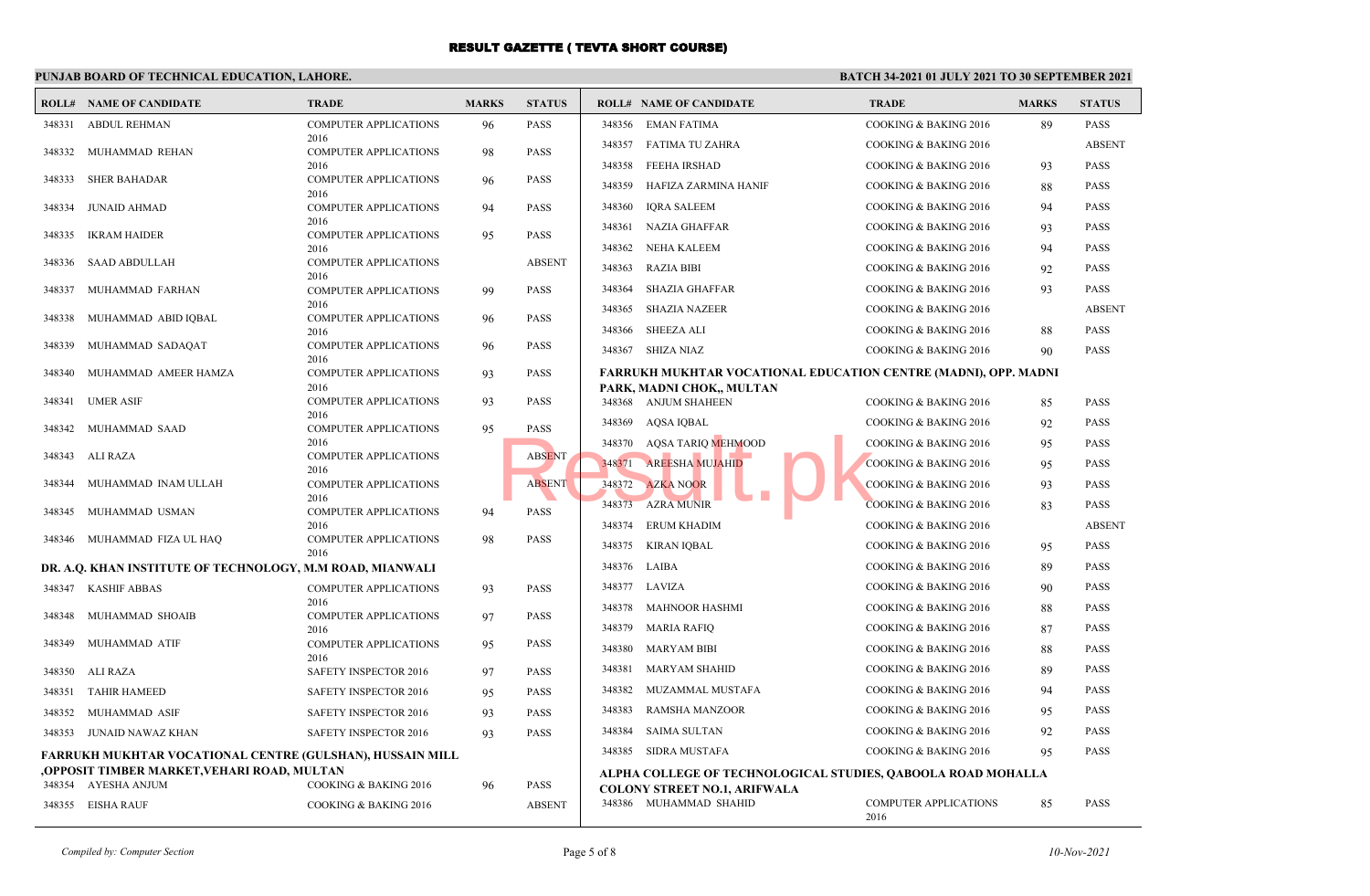### **PUNJAB BOARD OF TECHNICAL EDUCATION, LAHORE.**

|        | <b>ROLL# NAME OF CANDIDATE</b>                            | <b>TRADE</b>                         | <b>MARKS</b> | <b>STATUS</b> |        | <b>ROLL# NAME OF CANDIDATE</b>                                  | <b>TRADE</b>                         | <b>MARKS</b> | <b>STATUS</b> |
|--------|-----------------------------------------------------------|--------------------------------------|--------------|---------------|--------|-----------------------------------------------------------------|--------------------------------------|--------------|---------------|
| 348331 | <b>ABDUL REHMAN</b>                                       | <b>COMPUTER APPLICATIONS</b>         | 96           | <b>PASS</b>   |        | 348356 EMAN FATIMA                                              | COOKING & BAKING 2016                | 89           | <b>PASS</b>   |
| 348332 | MUHAMMAD REHAN                                            | 2016<br><b>COMPUTER APPLICATIONS</b> | 98           | <b>PASS</b>   | 348357 | <b>FATIMA TU ZAHRA</b>                                          | COOKING & BAKING 2016                |              | <b>ABSENT</b> |
|        |                                                           | 2016                                 |              |               | 348358 | FEEHA IRSHAD                                                    | COOKING & BAKING 2016                | 93           | <b>PASS</b>   |
| 348333 | <b>SHER BAHADAR</b>                                       | <b>COMPUTER APPLICATIONS</b><br>2016 | 96           | <b>PASS</b>   | 348359 | HAFIZA ZARMINA HANIF                                            | COOKING & BAKING 2016                | 88           | <b>PASS</b>   |
| 348334 | <b>JUNAID AHMAD</b>                                       | COMPUTER APPLICATIONS                | 94           | <b>PASS</b>   | 348360 | <b>IQRA SALEEM</b>                                              | COOKING & BAKING 2016                | 94           | <b>PASS</b>   |
| 348335 | IKRAM HAIDER                                              | 2016<br><b>COMPUTER APPLICATIONS</b> | 95           | <b>PASS</b>   | 348361 | <b>NAZIA GHAFFAR</b>                                            | COOKING & BAKING 2016                | 93           | <b>PASS</b>   |
|        |                                                           | 2016                                 |              |               | 348362 | NEHA KALEEM                                                     | COOKING & BAKING 2016                | 94           | <b>PASS</b>   |
| 348336 | <b>SAAD ABDULLAH</b>                                      | <b>COMPUTER APPLICATIONS</b><br>2016 |              | <b>ABSENT</b> | 348363 | <b>RAZIA BIBI</b>                                               | COOKING & BAKING 2016                | 92           | <b>PASS</b>   |
| 348337 | MUHAMMAD FARHAN                                           | <b>COMPUTER APPLICATIONS</b>         | 99           | <b>PASS</b>   | 348364 | <b>SHAZIA GHAFFAR</b>                                           | COOKING & BAKING 2016                | 93           | <b>PASS</b>   |
| 348338 |                                                           | 2016                                 |              |               | 348365 | <b>SHAZIA NAZEER</b>                                            | COOKING & BAKING 2016                |              | <b>ABSENT</b> |
|        | MUHAMMAD ABID IQBAL                                       | <b>COMPUTER APPLICATIONS</b><br>2016 | 96           | <b>PASS</b>   | 348366 | <b>SHEEZA ALI</b>                                               | COOKING & BAKING 2016                | 88           | <b>PASS</b>   |
| 348339 | MUHAMMAD SADAQAT                                          | <b>COMPUTER APPLICATIONS</b>         | 96           | <b>PASS</b>   | 348367 | SHIZA NIAZ                                                      | COOKING & BAKING 2016                | 90           | <b>PASS</b>   |
| 348340 | MUHAMMAD AMEER HAMZA                                      | 2016<br>COMPUTER APPLICATIONS        | 93           | <b>PASS</b>   |        | FARRUKH MUKHTAR VOCATIONAL EDUCATION CENTRE (MADNI), OPP. MADNI |                                      |              |               |
|        |                                                           | 2016                                 |              |               |        | PARK, MADNI CHOK,, MULTAN                                       |                                      |              |               |
| 348341 | <b>UMER ASIF</b>                                          | COMPUTER APPLICATIONS<br>2016        | 93           | <b>PASS</b>   |        | 348368 ANJUM SHAHEEN                                            | COOKING & BAKING 2016                | 85           | <b>PASS</b>   |
| 348342 | MUHAMMAD SAAD                                             | <b>COMPUTER APPLICATIONS</b>         | 95           | <b>PASS</b>   | 348369 | AQSA IQBAL                                                      | COOKING & BAKING 2016                | 92           | <b>PASS</b>   |
| 348343 | ALI RAZA                                                  | 2016<br><b>COMPUTER APPLICATIONS</b> |              | <b>ABSENT</b> |        | 348370 AQSA TARIQ MEHMOOD                                       | COOKING & BAKING 2016                | 95           | <b>PASS</b>   |
|        |                                                           | 2016                                 |              |               |        | 348371 AREESHA MUJAHID                                          | <b>COOKING &amp; BAKING 2016</b>     | 95           | <b>PASS</b>   |
| 348344 | MUHAMMAD INAM ULLAH                                       | COMPUTER APPLICATIONS<br>2016        |              | <b>ABSENT</b> | 348372 | <b>AZKA NOOR</b>                                                | COOKING & BAKING 2016                | 93           | <b>PASS</b>   |
| 348345 | MUHAMMAD USMAN                                            | <b>COMPUTER APPLICATIONS</b>         | 94           | <b>PASS</b>   |        | 348373 AZRA MUNIR                                               | <b>COOKING &amp; BAKING 2016</b>     | 83           | <b>PASS</b>   |
|        |                                                           | 2016<br><b>COMPUTER APPLICATIONS</b> |              | <b>PASS</b>   | 348374 | ERUM KHADIM                                                     | COOKING & BAKING 2016                |              | <b>ABSENT</b> |
|        | 348346 MUHAMMAD FIZA UL HAQ                               | 2016                                 | 98           |               | 348375 | KIRAN IOBAL                                                     | COOKING & BAKING 2016                | 95           | <b>PASS</b>   |
|        | DR. A.Q. KHAN INSTITUTE OF TECHNOLOGY, M.M ROAD, MIANWALI |                                      |              |               | 348376 | LAIBA                                                           | COOKING & BAKING 2016                | 89           | <b>PASS</b>   |
|        | 348347 KASHIF ABBAS                                       | <b>COMPUTER APPLICATIONS</b>         | 93           | <b>PASS</b>   | 348377 | LAVIZA                                                          | COOKING & BAKING 2016                | 90           | <b>PASS</b>   |
| 348348 | MUHAMMAD SHOAIB                                           | 2016<br>COMPUTER APPLICATIONS        | 97           | <b>PASS</b>   | 348378 | MAHNOOR HASHMI                                                  | COOKING & BAKING 2016                | 88           | <b>PASS</b>   |
|        |                                                           | 2016                                 |              |               | 348379 | MARIA RAFIQ                                                     | COOKING & BAKING 2016                | 87           | <b>PASS</b>   |
| 348349 | MUHAMMAD ATIF                                             | COMPUTER APPLICATIONS<br>2016        | 95           | <b>PASS</b>   | 348380 | <b>MARYAM BIBI</b>                                              | COOKING & BAKING 2016                | 88           | <b>PASS</b>   |
|        | 348350 ALI RAZA                                           | SAFETY INSPECTOR 2016                | 97           | <b>PASS</b>   | 348381 | <b>MARYAM SHAHID</b>                                            | COOKING & BAKING 2016                | 89           | <b>PASS</b>   |
| 348351 | <b>TAHIR HAMEED</b>                                       | SAFETY INSPECTOR 2016                | 95           | <b>PASS</b>   | 348382 | MUZAMMAL MUSTAFA                                                | COOKING & BAKING 2016                | 94           | <b>PASS</b>   |
| 348352 | MUHAMMAD ASIF                                             | SAFETY INSPECTOR 2016                | 93           | <b>PASS</b>   | 348383 | <b>RAMSHA MANZOOR</b>                                           | COOKING & BAKING 2016                | 95           | <b>PASS</b>   |
|        | 348353 JUNAID NAWAZ KHAN                                  | SAFETY INSPECTOR 2016                | 93           | <b>PASS</b>   | 348384 | <b>SAIMA SULTAN</b>                                             | COOKING & BAKING 2016                | 92           | <b>PASS</b>   |
|        | FARRUKH MUKHTAR VOCATIONAL CENTRE (GULSHAN), HUSSAIN MILL |                                      |              |               | 348385 | SIDRA MUSTAFA                                                   | COOKING & BAKING 2016                | 95           | <b>PASS</b>   |
|        | OPPOSIT TIMBER MARKET,VEHARI ROAD, MULTAN,                |                                      |              |               |        | ALPHA COLLEGE OF TECHNOLOGICAL STUDIES, QABOOLA ROAD MOHALLA    |                                      |              |               |
|        | 348354 AYESHA ANJUM                                       | COOKING & BAKING 2016                | 96           | PASS          |        | <b>COLONY STREET NO.1, ARIFWALA</b>                             |                                      |              |               |
|        | 348355 EISHA RAUF                                         | <b>COOKING &amp; BAKING 2016</b>     |              | <b>ABSENT</b> |        | 348386 MUHAMMAD SHAHID                                          | <b>COMPUTER APPLICATIONS</b><br>2016 | 85           | <b>PASS</b>   |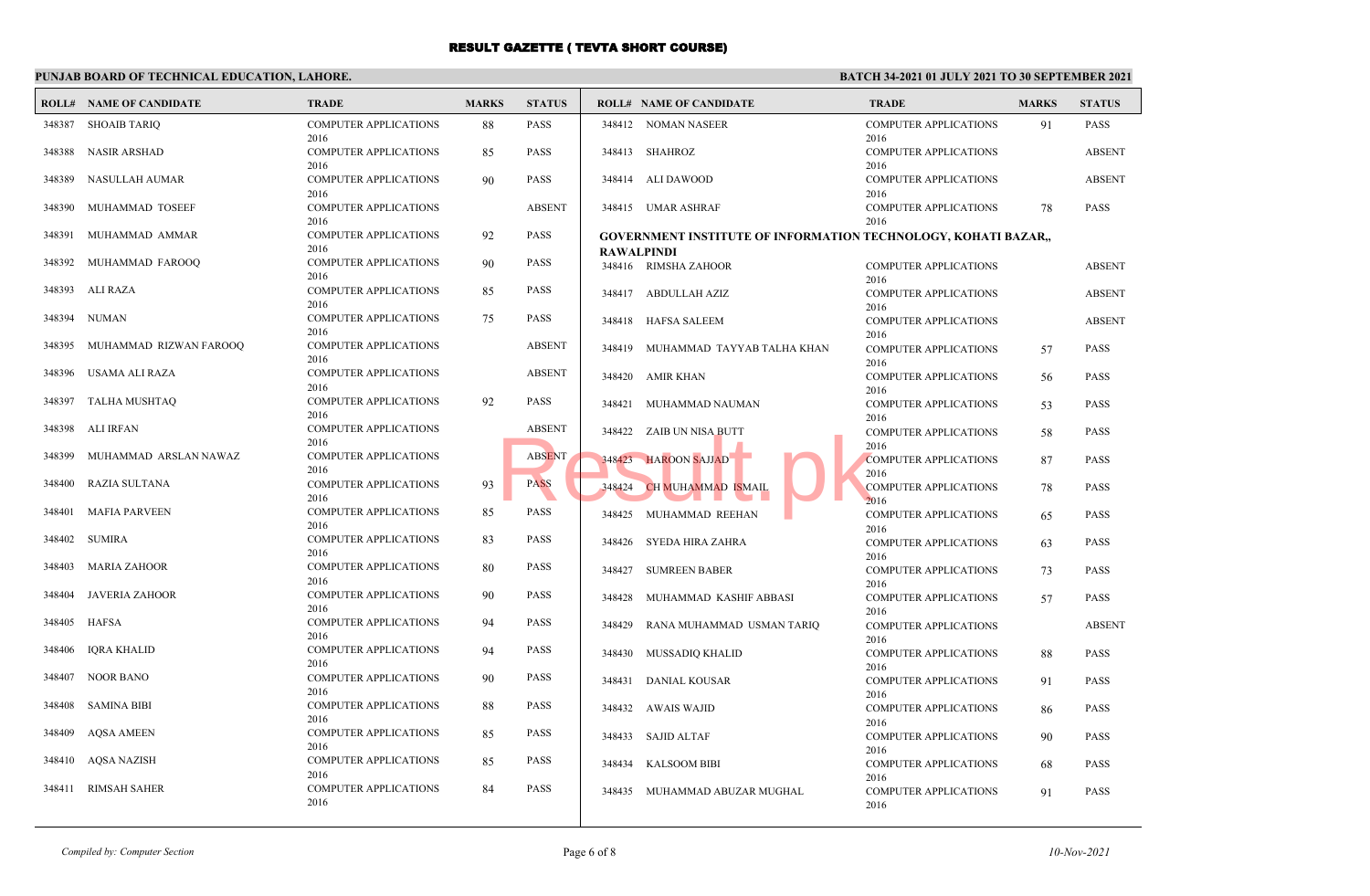### **PUNJAB BOARD OF TECHNICAL EDUCATION, LAHORE.**

#### **BATCH 34-2021 01 JULY 2021 TO 30 SEPTEMBER 2021**

|        | <b>ROLL# NAME OF CANDIDATE</b> | <b>TRADE</b>                         | <b>MARKS</b> | <b>STATUS</b> |                   | <b>ROLL# NAME OF CANDIDATE</b>                                 | <b>TRADE</b>                         | <b>MARKS</b> | <b>STATUS</b> |
|--------|--------------------------------|--------------------------------------|--------------|---------------|-------------------|----------------------------------------------------------------|--------------------------------------|--------------|---------------|
| 348387 | SHOAIB TARIQ                   | <b>COMPUTER APPLICATIONS</b><br>2016 | 88           | PASS          |                   | 348412 NOMAN NASEER                                            | <b>COMPUTER APPLICATIONS</b><br>2016 | 91           | <b>PASS</b>   |
| 348388 | <b>NASIR ARSHAD</b>            | <b>COMPUTER APPLICATIONS</b><br>2016 | 85           | PASS          |                   | 348413 SHAHROZ                                                 | <b>COMPUTER APPLICATIONS</b><br>2016 |              | <b>ABSENT</b> |
| 348389 | NASULLAH AUMAR                 | <b>COMPUTER APPLICATIONS</b><br>2016 | 90           | <b>PASS</b>   |                   | 348414 ALI DAWOOD                                              | <b>COMPUTER APPLICATIONS</b><br>2016 |              | <b>ABSENT</b> |
| 348390 | MUHAMMAD TOSEEF                | COMPUTER APPLICATIONS<br>2016        |              | <b>ABSENT</b> |                   | 348415 UMAR ASHRAF                                             | <b>COMPUTER APPLICATIONS</b><br>2016 | 78           | <b>PASS</b>   |
| 348391 | MUHAMMAD AMMAR                 | <b>COMPUTER APPLICATIONS</b><br>2016 | 92           | PASS          |                   | GOVERNMENT INSTITUTE OF INFORMATION TECHNOLOGY, KOHATI BAZAR,, |                                      |              |               |
| 348392 | MUHAMMAD FAROOQ                | <b>COMPUTER APPLICATIONS</b><br>2016 | 90           | PASS          | <b>RAWALPINDI</b> | 348416 RIMSHA ZAHOOR                                           | <b>COMPUTER APPLICATIONS</b>         |              | <b>ABSENT</b> |
| 348393 | ALI RAZA                       | <b>COMPUTER APPLICATIONS</b><br>2016 | 85           | PASS          |                   | 348417 ABDULLAH AZIZ                                           | 2016<br><b>COMPUTER APPLICATIONS</b> |              | <b>ABSENT</b> |
| 348394 | NUMAN                          | <b>COMPUTER APPLICATIONS</b><br>2016 | 75           | PASS          |                   | 348418 HAFSA SALEEM                                            | 2016<br><b>COMPUTER APPLICATIONS</b> |              | <b>ABSENT</b> |
| 348395 | MUHAMMAD RIZWAN FAROOQ         | <b>COMPUTER APPLICATIONS</b><br>2016 |              | <b>ABSENT</b> | 348419            | MUHAMMAD TAYYAB TALHA KHAN                                     | 2016<br><b>COMPUTER APPLICATIONS</b> | 57           | <b>PASS</b>   |
| 348396 | USAMA ALI RAZA                 | <b>COMPUTER APPLICATIONS</b><br>2016 |              | <b>ABSENT</b> |                   | 348420 AMIR KHAN                                               | 2016<br><b>COMPUTER APPLICATIONS</b> | 56           | <b>PASS</b>   |
| 348397 | TALHA MUSHTAQ                  | <b>COMPUTER APPLICATIONS</b><br>2016 | 92           | PASS          | 348421            | MUHAMMAD NAUMAN                                                | 2016<br><b>COMPUTER APPLICATIONS</b> | 53           | PASS          |
| 348398 | ALI IRFAN                      | <b>COMPUTER APPLICATIONS</b><br>2016 |              | <b>ABSENT</b> |                   | 348422 ZAIB UN NISA BUTT                                       | 2016<br><b>COMPUTER APPLICATIONS</b> | 58           | PASS          |
| 348399 | MUHAMMAD ARSLAN NAWAZ          | <b>COMPUTER APPLICATIONS</b><br>2016 |              | <b>ABSENT</b> |                   | 348423 HAROON SAJJAD                                           | 2016<br><b>COMPUTER APPLICATIONS</b> | 87           | <b>PASS</b>   |
| 348400 | RAZIA SULTANA                  | <b>COMPUTER APPLICATIONS</b><br>2016 | 93           | <b>PASS</b>   | 348424            | CH MUHAMMAD ISMAIL                                             | 2016<br><b>COMPUTER APPLICATIONS</b> | 78           | <b>PASS</b>   |
| 348401 | MAFIA PARVEEN                  | <b>COMPUTER APPLICATIONS</b><br>2016 | 85           | PASS          |                   | 348425 MUHAMMAD REEHAN                                         | 2016<br><b>COMPUTER APPLICATIONS</b> | 65           | <b>PASS</b>   |
| 348402 | SUMIRA                         | <b>COMPUTER APPLICATIONS</b><br>2016 | 83           | PASS          |                   | 348426 SYEDA HIRA ZAHRA                                        | 2016<br><b>COMPUTER APPLICATIONS</b> | 63           | <b>PASS</b>   |
| 348403 | MARIA ZAHOOR                   | <b>COMPUTER APPLICATIONS</b><br>2016 | 80           | PASS          | 348427            | <b>SUMREEN BABER</b>                                           | 2016<br><b>COMPUTER APPLICATIONS</b> | 73           | <b>PASS</b>   |
| 348404 | JAVERIA ZAHOOR                 | <b>COMPUTER APPLICATIONS</b><br>2016 | 90           | PASS          | 348428            | MUHAMMAD KASHIF ABBASI                                         | 2016<br><b>COMPUTER APPLICATIONS</b> | 57           | <b>PASS</b>   |
| 348405 | <b>HAFSA</b>                   | <b>COMPUTER APPLICATIONS</b><br>2016 | 94           | PASS          | 348429            | RANA MUHAMMAD USMAN TARIQ                                      | 2016<br><b>COMPUTER APPLICATIONS</b> |              | <b>ABSENT</b> |
| 348406 | IQRA KHALID                    | <b>COMPUTER APPLICATIONS</b><br>2016 | 94           | PASS          |                   | 348430 MUSSADIQ KHALID                                         | 2016<br><b>COMPUTER APPLICATIONS</b> | 88           | <b>PASS</b>   |
| 348407 | NOOR BANO                      | <b>COMPUTER APPLICATIONS</b><br>2016 | 90           | PASS          | 348431            | <b>DANIAL KOUSAR</b>                                           | 2016<br><b>COMPUTER APPLICATIONS</b> | 91           | <b>PASS</b>   |
| 348408 | SAMINA BIBI                    | <b>COMPUTER APPLICATIONS</b><br>2016 | 88           | PASS          |                   | 348432 AWAIS WAJID                                             | 2016<br><b>COMPUTER APPLICATIONS</b> | 86           | <b>PASS</b>   |
| 348409 | <b>AQSA AMEEN</b>              | <b>COMPUTER APPLICATIONS</b><br>2016 | 85           | PASS          |                   | 348433 SAJID ALTAF                                             | 2016<br><b>COMPUTER APPLICATIONS</b> | 90           | PASS          |
| 348410 | AQSA NAZISH                    | <b>COMPUTER APPLICATIONS</b><br>2016 | 85           | PASS          |                   | 348434 KALSOOM BIBI                                            | 2016<br><b>COMPUTER APPLICATIONS</b> | 68           | <b>PASS</b>   |
| 348411 | <b>RIMSAH SAHER</b>            | <b>COMPUTER APPLICATIONS</b><br>2016 | 84           | PASS          | 348435            | MUHAMMAD ABUZAR MUGHAL                                         | 2016<br><b>COMPUTER APPLICATIONS</b> | 91           | <b>PASS</b>   |
|        |                                |                                      |              |               |                   |                                                                | 2016                                 |              |               |

*Compiled by: Computer Section* **Page 6 of 8** *10-Nov-2021*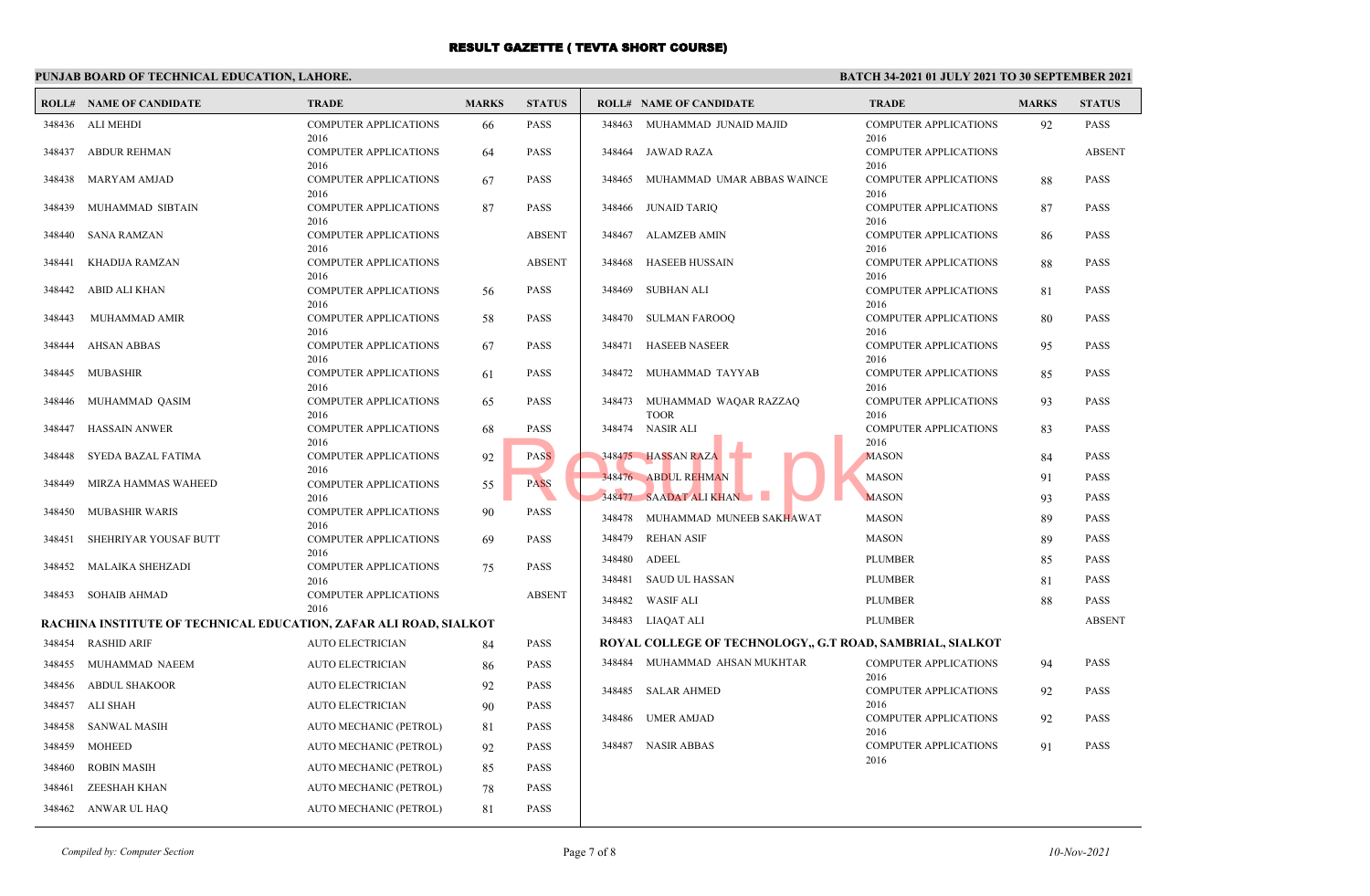### **PUNJAB BOARD OF TECHNICAL EDUCATION, LAHORE.**

| <b>COMPUTER APPLICATIONS</b><br><b>PASS</b><br><b>COMPUTER APPLICATIONS</b><br>348436 ALI MEHDI<br>348463<br>MUHAMMAD JUNAID MAJID<br>92<br>PASS<br>66<br>2016<br>2016<br>348437 ABDUR REHMAN<br><b>COMPUTER APPLICATIONS</b><br><b>PASS</b><br>348464 JAWAD RAZA<br><b>COMPUTER APPLICATIONS</b><br><b>ABSENT</b><br>64<br>2016<br>2016<br>348438 MARYAM AMJAD<br><b>COMPUTER APPLICATIONS</b><br><b>PASS</b><br><b>COMPUTER APPLICATIONS</b><br>PASS<br>348465<br>MUHAMMAD UMAR ABBAS WAINCE<br>67<br>88<br>2016<br>2016<br>MUHAMMAD SIBTAIN<br><b>PASS</b><br>JUNAID TARIO<br>PASS<br>348439<br><b>COMPUTER APPLICATIONS</b><br>87<br>348466<br><b>COMPUTER APPLICATIONS</b><br>87<br>2016<br>2016<br>348440 SANA RAMZAN<br><b>COMPUTER APPLICATIONS</b><br><b>ABSENT</b><br>348467<br>ALAMZEB AMIN<br><b>COMPUTER APPLICATIONS</b><br>PASS<br>86<br>2016<br>2016<br><b>COMPUTER APPLICATIONS</b><br><b>ABSENT</b><br><b>HASEEB HUSSAIN</b><br><b>COMPUTER APPLICATIONS</b><br>348441<br>KHADIJA RAMZAN<br>348468<br>PASS<br>88<br>2016<br>2016<br>348442 ABID ALI KHAN<br><b>PASS</b><br>SUBHAN ALI<br><b>COMPUTER APPLICATIONS</b><br><b>COMPUTER APPLICATIONS</b><br>56<br>348469<br>81<br>PASS<br>2016<br>2016<br>348443<br>MUHAMMAD AMIR<br><b>COMPUTER APPLICATIONS</b><br><b>PASS</b><br>348470 SULMAN FAROOO<br><b>COMPUTER APPLICATIONS</b><br><b>PASS</b><br>58<br>80<br>2016<br>2016<br><b>PASS</b><br>HASEEB NASEER<br>PASS<br>348444<br>AHSAN ABBAS<br><b>COMPUTER APPLICATIONS</b><br>67<br>348471<br><b>COMPUTER APPLICATIONS</b><br>95<br>2016<br>2016<br>348445 MUBASHIR<br><b>COMPUTER APPLICATIONS</b><br><b>PASS</b><br><b>COMPUTER APPLICATIONS</b><br>PASS<br>61<br>348472<br>MUHAMMAD TAYYAB<br>85<br>2016<br>2016<br>348446 MUHAMMAD QASIM<br><b>COMPUTER APPLICATIONS</b><br><b>PASS</b><br>348473<br>MUHAMMAD WAQAR RAZZAQ<br><b>COMPUTER APPLICATIONS</b><br>PASS<br>65<br>93<br>2016<br><b>TOOR</b><br>2016<br>348474 NASIR ALI<br>348447<br>HASSAIN ANWER<br><b>COMPUTER APPLICATIONS</b><br><b>PASS</b><br><b>COMPUTER APPLICATIONS</b><br>PASS<br>68<br>83<br>2016<br>2016<br>348475 HASSAN RAZA<br>SYEDA BAZAL FATIMA<br>COMPUTER APPLICATIONS<br><b>PASS</b><br><b>MASON</b><br>PASS<br>348448<br>92<br>84 |
|------------------------------------------------------------------------------------------------------------------------------------------------------------------------------------------------------------------------------------------------------------------------------------------------------------------------------------------------------------------------------------------------------------------------------------------------------------------------------------------------------------------------------------------------------------------------------------------------------------------------------------------------------------------------------------------------------------------------------------------------------------------------------------------------------------------------------------------------------------------------------------------------------------------------------------------------------------------------------------------------------------------------------------------------------------------------------------------------------------------------------------------------------------------------------------------------------------------------------------------------------------------------------------------------------------------------------------------------------------------------------------------------------------------------------------------------------------------------------------------------------------------------------------------------------------------------------------------------------------------------------------------------------------------------------------------------------------------------------------------------------------------------------------------------------------------------------------------------------------------------------------------------------------------------------------------------------------------------------------------------------------------------------------------------------------------------------------------------------------------------------------------------------------------------------------------------------------------------------------------------|
|                                                                                                                                                                                                                                                                                                                                                                                                                                                                                                                                                                                                                                                                                                                                                                                                                                                                                                                                                                                                                                                                                                                                                                                                                                                                                                                                                                                                                                                                                                                                                                                                                                                                                                                                                                                                                                                                                                                                                                                                                                                                                                                                                                                                                                                |
|                                                                                                                                                                                                                                                                                                                                                                                                                                                                                                                                                                                                                                                                                                                                                                                                                                                                                                                                                                                                                                                                                                                                                                                                                                                                                                                                                                                                                                                                                                                                                                                                                                                                                                                                                                                                                                                                                                                                                                                                                                                                                                                                                                                                                                                |
|                                                                                                                                                                                                                                                                                                                                                                                                                                                                                                                                                                                                                                                                                                                                                                                                                                                                                                                                                                                                                                                                                                                                                                                                                                                                                                                                                                                                                                                                                                                                                                                                                                                                                                                                                                                                                                                                                                                                                                                                                                                                                                                                                                                                                                                |
|                                                                                                                                                                                                                                                                                                                                                                                                                                                                                                                                                                                                                                                                                                                                                                                                                                                                                                                                                                                                                                                                                                                                                                                                                                                                                                                                                                                                                                                                                                                                                                                                                                                                                                                                                                                                                                                                                                                                                                                                                                                                                                                                                                                                                                                |
|                                                                                                                                                                                                                                                                                                                                                                                                                                                                                                                                                                                                                                                                                                                                                                                                                                                                                                                                                                                                                                                                                                                                                                                                                                                                                                                                                                                                                                                                                                                                                                                                                                                                                                                                                                                                                                                                                                                                                                                                                                                                                                                                                                                                                                                |
|                                                                                                                                                                                                                                                                                                                                                                                                                                                                                                                                                                                                                                                                                                                                                                                                                                                                                                                                                                                                                                                                                                                                                                                                                                                                                                                                                                                                                                                                                                                                                                                                                                                                                                                                                                                                                                                                                                                                                                                                                                                                                                                                                                                                                                                |
|                                                                                                                                                                                                                                                                                                                                                                                                                                                                                                                                                                                                                                                                                                                                                                                                                                                                                                                                                                                                                                                                                                                                                                                                                                                                                                                                                                                                                                                                                                                                                                                                                                                                                                                                                                                                                                                                                                                                                                                                                                                                                                                                                                                                                                                |
|                                                                                                                                                                                                                                                                                                                                                                                                                                                                                                                                                                                                                                                                                                                                                                                                                                                                                                                                                                                                                                                                                                                                                                                                                                                                                                                                                                                                                                                                                                                                                                                                                                                                                                                                                                                                                                                                                                                                                                                                                                                                                                                                                                                                                                                |
|                                                                                                                                                                                                                                                                                                                                                                                                                                                                                                                                                                                                                                                                                                                                                                                                                                                                                                                                                                                                                                                                                                                                                                                                                                                                                                                                                                                                                                                                                                                                                                                                                                                                                                                                                                                                                                                                                                                                                                                                                                                                                                                                                                                                                                                |
|                                                                                                                                                                                                                                                                                                                                                                                                                                                                                                                                                                                                                                                                                                                                                                                                                                                                                                                                                                                                                                                                                                                                                                                                                                                                                                                                                                                                                                                                                                                                                                                                                                                                                                                                                                                                                                                                                                                                                                                                                                                                                                                                                                                                                                                |
|                                                                                                                                                                                                                                                                                                                                                                                                                                                                                                                                                                                                                                                                                                                                                                                                                                                                                                                                                                                                                                                                                                                                                                                                                                                                                                                                                                                                                                                                                                                                                                                                                                                                                                                                                                                                                                                                                                                                                                                                                                                                                                                                                                                                                                                |
|                                                                                                                                                                                                                                                                                                                                                                                                                                                                                                                                                                                                                                                                                                                                                                                                                                                                                                                                                                                                                                                                                                                                                                                                                                                                                                                                                                                                                                                                                                                                                                                                                                                                                                                                                                                                                                                                                                                                                                                                                                                                                                                                                                                                                                                |
|                                                                                                                                                                                                                                                                                                                                                                                                                                                                                                                                                                                                                                                                                                                                                                                                                                                                                                                                                                                                                                                                                                                                                                                                                                                                                                                                                                                                                                                                                                                                                                                                                                                                                                                                                                                                                                                                                                                                                                                                                                                                                                                                                                                                                                                |
|                                                                                                                                                                                                                                                                                                                                                                                                                                                                                                                                                                                                                                                                                                                                                                                                                                                                                                                                                                                                                                                                                                                                                                                                                                                                                                                                                                                                                                                                                                                                                                                                                                                                                                                                                                                                                                                                                                                                                                                                                                                                                                                                                                                                                                                |
|                                                                                                                                                                                                                                                                                                                                                                                                                                                                                                                                                                                                                                                                                                                                                                                                                                                                                                                                                                                                                                                                                                                                                                                                                                                                                                                                                                                                                                                                                                                                                                                                                                                                                                                                                                                                                                                                                                                                                                                                                                                                                                                                                                                                                                                |
|                                                                                                                                                                                                                                                                                                                                                                                                                                                                                                                                                                                                                                                                                                                                                                                                                                                                                                                                                                                                                                                                                                                                                                                                                                                                                                                                                                                                                                                                                                                                                                                                                                                                                                                                                                                                                                                                                                                                                                                                                                                                                                                                                                                                                                                |
|                                                                                                                                                                                                                                                                                                                                                                                                                                                                                                                                                                                                                                                                                                                                                                                                                                                                                                                                                                                                                                                                                                                                                                                                                                                                                                                                                                                                                                                                                                                                                                                                                                                                                                                                                                                                                                                                                                                                                                                                                                                                                                                                                                                                                                                |
|                                                                                                                                                                                                                                                                                                                                                                                                                                                                                                                                                                                                                                                                                                                                                                                                                                                                                                                                                                                                                                                                                                                                                                                                                                                                                                                                                                                                                                                                                                                                                                                                                                                                                                                                                                                                                                                                                                                                                                                                                                                                                                                                                                                                                                                |
| 2016<br>348476 ABDUL REHMAN<br><b>MASON</b><br>PASS<br>91                                                                                                                                                                                                                                                                                                                                                                                                                                                                                                                                                                                                                                                                                                                                                                                                                                                                                                                                                                                                                                                                                                                                                                                                                                                                                                                                                                                                                                                                                                                                                                                                                                                                                                                                                                                                                                                                                                                                                                                                                                                                                                                                                                                      |
| <b>PASS</b><br>348449<br>MIRZA HAMMAS WAHEED<br>COMPUTER APPLICATIONS<br>55<br>348477 SAADAT ALI KHAN<br><b>MASON</b>                                                                                                                                                                                                                                                                                                                                                                                                                                                                                                                                                                                                                                                                                                                                                                                                                                                                                                                                                                                                                                                                                                                                                                                                                                                                                                                                                                                                                                                                                                                                                                                                                                                                                                                                                                                                                                                                                                                                                                                                                                                                                                                          |
| 93<br>PASS<br>2016<br>348450 MUBASHIR WARIS<br><b>PASS</b><br><b>COMPUTER APPLICATIONS</b><br>90                                                                                                                                                                                                                                                                                                                                                                                                                                                                                                                                                                                                                                                                                                                                                                                                                                                                                                                                                                                                                                                                                                                                                                                                                                                                                                                                                                                                                                                                                                                                                                                                                                                                                                                                                                                                                                                                                                                                                                                                                                                                                                                                               |
| <b>MASON</b><br>348478<br>MUHAMMAD MUNEEB SAKHAWAT<br>PASS<br>89<br>2016                                                                                                                                                                                                                                                                                                                                                                                                                                                                                                                                                                                                                                                                                                                                                                                                                                                                                                                                                                                                                                                                                                                                                                                                                                                                                                                                                                                                                                                                                                                                                                                                                                                                                                                                                                                                                                                                                                                                                                                                                                                                                                                                                                       |
| 348479<br><b>REHAN ASIF</b><br><b>MASON</b><br>89<br>PASS<br>SHEHRIYAR YOUSAF BUTT<br><b>COMPUTER APPLICATIONS</b><br><b>PASS</b><br>348451<br>69<br>2016                                                                                                                                                                                                                                                                                                                                                                                                                                                                                                                                                                                                                                                                                                                                                                                                                                                                                                                                                                                                                                                                                                                                                                                                                                                                                                                                                                                                                                                                                                                                                                                                                                                                                                                                                                                                                                                                                                                                                                                                                                                                                      |
| <b>PLUMBER</b><br>348480<br>ADEEL<br>PASS<br>85<br>348452 MALAIKA SHEHZADI<br><b>COMPUTER APPLICATIONS</b><br><b>PASS</b><br>75                                                                                                                                                                                                                                                                                                                                                                                                                                                                                                                                                                                                                                                                                                                                                                                                                                                                                                                                                                                                                                                                                                                                                                                                                                                                                                                                                                                                                                                                                                                                                                                                                                                                                                                                                                                                                                                                                                                                                                                                                                                                                                                |
| <b>PLUMBER</b><br>348481<br><b>SAUD UL HASSAN</b><br>81<br>PASS<br>2016                                                                                                                                                                                                                                                                                                                                                                                                                                                                                                                                                                                                                                                                                                                                                                                                                                                                                                                                                                                                                                                                                                                                                                                                                                                                                                                                                                                                                                                                                                                                                                                                                                                                                                                                                                                                                                                                                                                                                                                                                                                                                                                                                                        |
| <b>ABSENT</b><br>SOHAIB AHMAD<br>COMPUTER APPLICATIONS<br>348453<br><b>WASIF ALI</b><br><b>PLUMBER</b><br>348482<br>PASS<br>88<br>2016                                                                                                                                                                                                                                                                                                                                                                                                                                                                                                                                                                                                                                                                                                                                                                                                                                                                                                                                                                                                                                                                                                                                                                                                                                                                                                                                                                                                                                                                                                                                                                                                                                                                                                                                                                                                                                                                                                                                                                                                                                                                                                         |
| 348483 LIAQAT ALI<br><b>PLUMBER</b><br><b>ABSENT</b><br>RACHINA INSTITUTE OF TECHNICAL EDUCATION, ZAFAR ALI ROAD, SIALKOT                                                                                                                                                                                                                                                                                                                                                                                                                                                                                                                                                                                                                                                                                                                                                                                                                                                                                                                                                                                                                                                                                                                                                                                                                                                                                                                                                                                                                                                                                                                                                                                                                                                                                                                                                                                                                                                                                                                                                                                                                                                                                                                      |
| ROYAL COLLEGE OF TECHNOLOGY,, G.T ROAD, SAMBRIAL, SIALKOT<br>348454 RASHID ARIF<br><b>AUTO ELECTRICIAN</b><br><b>PASS</b><br>84                                                                                                                                                                                                                                                                                                                                                                                                                                                                                                                                                                                                                                                                                                                                                                                                                                                                                                                                                                                                                                                                                                                                                                                                                                                                                                                                                                                                                                                                                                                                                                                                                                                                                                                                                                                                                                                                                                                                                                                                                                                                                                                |
| <b>COMPUTER APPLICATIONS</b><br>348484 MUHAMMAD AHSAN MUKHTAR<br>PASS<br><b>PASS</b><br>94<br>348455<br>MUHAMMAD NAEEM<br><b>AUTO ELECTRICIAN</b><br>86                                                                                                                                                                                                                                                                                                                                                                                                                                                                                                                                                                                                                                                                                                                                                                                                                                                                                                                                                                                                                                                                                                                                                                                                                                                                                                                                                                                                                                                                                                                                                                                                                                                                                                                                                                                                                                                                                                                                                                                                                                                                                        |
| 2016<br>348456 ABDUL SHAKOOR<br><b>AUTO ELECTRICIAN</b><br>92<br><b>PASS</b><br>348485<br><b>SALAR AHMED</b><br><b>COMPUTER APPLICATIONS</b><br>PASS<br>92                                                                                                                                                                                                                                                                                                                                                                                                                                                                                                                                                                                                                                                                                                                                                                                                                                                                                                                                                                                                                                                                                                                                                                                                                                                                                                                                                                                                                                                                                                                                                                                                                                                                                                                                                                                                                                                                                                                                                                                                                                                                                     |
| 2016<br>ALI SHAH<br>348457<br><b>AUTO ELECTRICIAN</b><br><b>PASS</b><br>90                                                                                                                                                                                                                                                                                                                                                                                                                                                                                                                                                                                                                                                                                                                                                                                                                                                                                                                                                                                                                                                                                                                                                                                                                                                                                                                                                                                                                                                                                                                                                                                                                                                                                                                                                                                                                                                                                                                                                                                                                                                                                                                                                                     |
| 348486<br>UMER AMJAD<br>PASS<br><b>COMPUTER APPLICATIONS</b><br>92<br>SANWAL MASIH<br>AUTO MECHANIC (PETROL)<br><b>PASS</b><br>348458<br>81                                                                                                                                                                                                                                                                                                                                                                                                                                                                                                                                                                                                                                                                                                                                                                                                                                                                                                                                                                                                                                                                                                                                                                                                                                                                                                                                                                                                                                                                                                                                                                                                                                                                                                                                                                                                                                                                                                                                                                                                                                                                                                    |
| 2016<br><b>MOHEED</b><br>PASS<br>348487<br>NASIR ABBAS<br><b>COMPUTER APPLICATIONS</b><br>91<br>PASS<br>348459<br>AUTO MECHANIC (PETROL)<br>92                                                                                                                                                                                                                                                                                                                                                                                                                                                                                                                                                                                                                                                                                                                                                                                                                                                                                                                                                                                                                                                                                                                                                                                                                                                                                                                                                                                                                                                                                                                                                                                                                                                                                                                                                                                                                                                                                                                                                                                                                                                                                                 |
| 2016<br>348460 ROBIN MASIH<br>AUTO MECHANIC (PETROL)<br><b>PASS</b><br>85                                                                                                                                                                                                                                                                                                                                                                                                                                                                                                                                                                                                                                                                                                                                                                                                                                                                                                                                                                                                                                                                                                                                                                                                                                                                                                                                                                                                                                                                                                                                                                                                                                                                                                                                                                                                                                                                                                                                                                                                                                                                                                                                                                      |
| 348461<br>ZEESHAH KHAN<br>AUTO MECHANIC (PETROL)<br><b>PASS</b><br>78                                                                                                                                                                                                                                                                                                                                                                                                                                                                                                                                                                                                                                                                                                                                                                                                                                                                                                                                                                                                                                                                                                                                                                                                                                                                                                                                                                                                                                                                                                                                                                                                                                                                                                                                                                                                                                                                                                                                                                                                                                                                                                                                                                          |
| 348462 ANWAR UL HAQ<br>AUTO MECHANIC (PETROL)<br><b>PASS</b><br>81                                                                                                                                                                                                                                                                                                                                                                                                                                                                                                                                                                                                                                                                                                                                                                                                                                                                                                                                                                                                                                                                                                                                                                                                                                                                                                                                                                                                                                                                                                                                                                                                                                                                                                                                                                                                                                                                                                                                                                                                                                                                                                                                                                             |